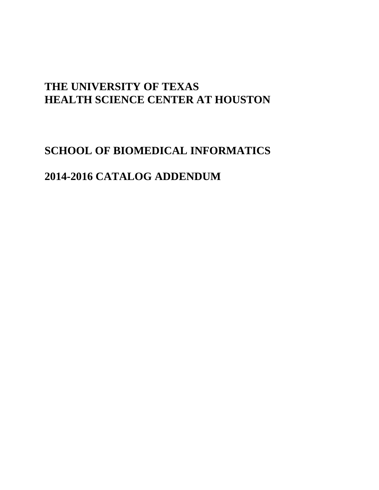# **THE UNIVERSITY OF TEXAS HEALTH SCIENCE CENTER AT HOUSTON**

# **SCHOOL OF BIOMEDICAL INFORMATICS**

# **2014-2016 CATALOG ADDENDUM**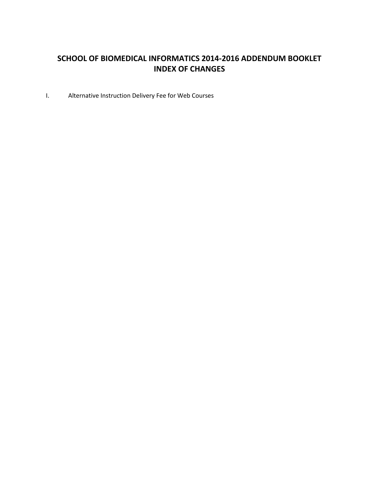# **SCHOOL OF BIOMEDICAL INFORMATICS 2014-2016 ADDENDUM BOOKLET INDEX OF CHANGES**

I. Alternative Instruction Delivery Fee for Web Courses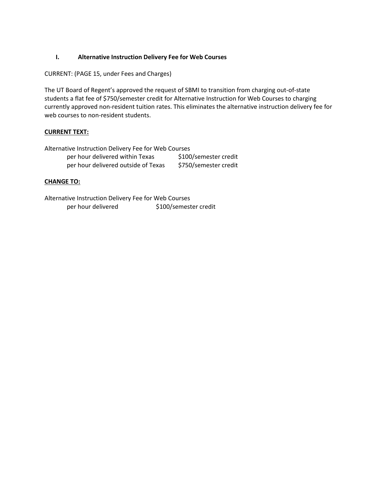# **I. Alternative Instruction Delivery Fee for Web Courses**

CURRENT: (PAGE 15, under Fees and Charges)

The UT Board of Regent's approved the request of SBMI to transition from charging out-of-state students a flat fee of \$750/semester credit for Alternative Instruction for Web Courses to charging currently approved non-resident tuition rates. This eliminates the alternative instruction delivery fee for web courses to non-resident students.

# **CURRENT TEXT:**

Alternative Instruction Delivery Fee for Web Courses per hour delivered within Texas \$100/semester credit per hour delivered outside of Texas \$750/semester credit

# **CHANGE TO:**

Alternative Instruction Delivery Fee for Web Courses per hour delivered \$100/semester credit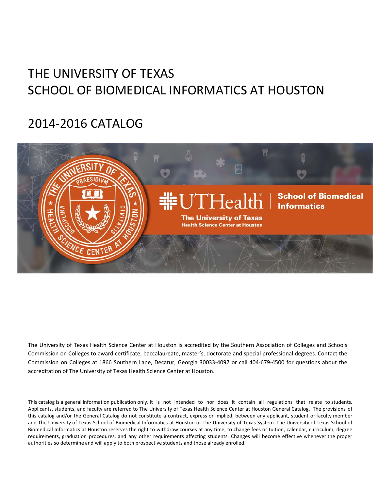# THE UNIVERSITY OF TEXAS SCHOOL OF BIOMEDICAL INFORMATICS AT HOUSTON

# 2014‐2016 CATALOG



The University of Texas Health Science Center at Houston is accredited by the Southern Association of Colleges and Schools Commission on Colleges to award certificate, baccalaureate, master's, doctorate and special professional degrees. Contact the Commission on Colleges at 1866 Southern Lane, Decatur, Georgia 30033‐4097 or call 404‐679‐4500 for questions about the accreditation of The University of Texas Health Science Center at Houston.

This catalog is a general information publication only. It is not intended to nor does it contain all regulations that relate to students. Applicants, students, and faculty are referred to The University of Texas Health Science Center at Houston General Catalog. The provisions of this catalog and/or the General Catalog do not constitute a contract, express or implied, between any applicant, student or faculty member and The University of Texas School of Biomedical Informatics at Houston or The University of Texas System. The University of Texas School of Biomedical Informatics at Houston reserves the right to withdraw courses at any time, to change fees or tuition, calendar, curriculum, degree requirements, graduation procedures, and any other requirements affecting students. Changes will become effective whenever the proper authorities so determine and will apply to both prospective students and those already enrolled.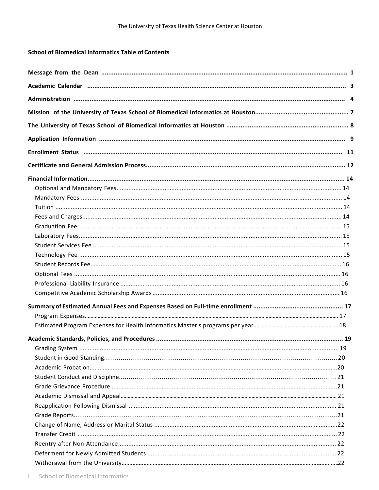# **School of Biomedical Informatics Table of Contents**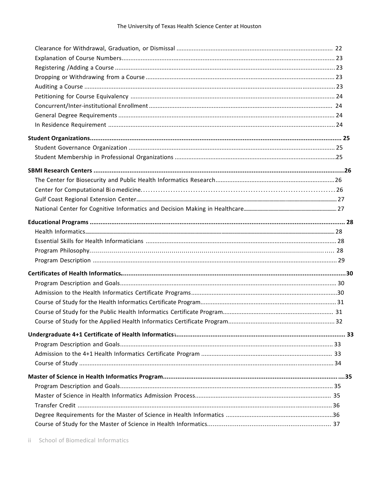ii School of Biomedical Informatics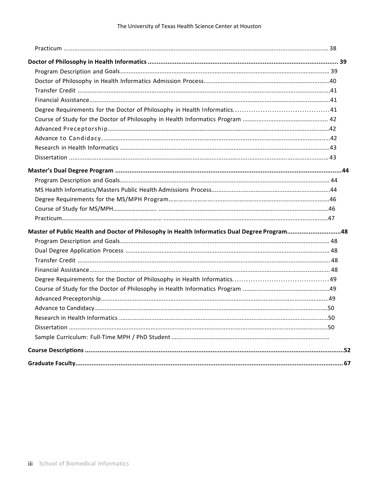| Master of Public Health and Doctor of Philosophy in Health Informatics Dual Degree Program48 |  |
|----------------------------------------------------------------------------------------------|--|
|                                                                                              |  |
|                                                                                              |  |
|                                                                                              |  |
|                                                                                              |  |
|                                                                                              |  |
|                                                                                              |  |
|                                                                                              |  |
|                                                                                              |  |
|                                                                                              |  |
|                                                                                              |  |
|                                                                                              |  |
|                                                                                              |  |
|                                                                                              |  |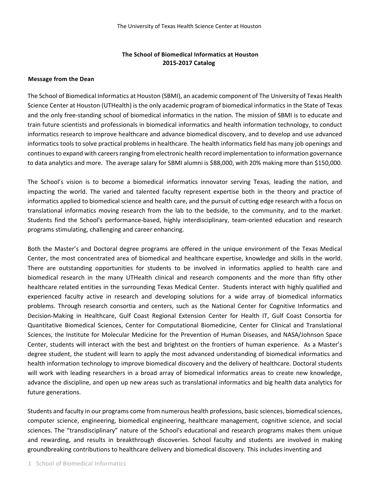# **The School of Biomedical Informatics at Houston 2015‐2017 Catalog**

# **Message from the Dean**

The School of Biomedical Informatics at Houston (SBMI), an academic component of The University of Texas Health Science Center at Houston (UTHealth) is the only academic program of biomedical informatics in the State of Texas and the only free‐standing school of biomedical informatics in the nation. The mission of SBMI is to educate and train future scientists and professionals in biomedical informatics and health information technology, to conduct informatics research to improve healthcare and advance biomedical discovery, and to develop and use advanced informatics tools to solve practical problems in healthcare. The health informatics field has many job openings and continues to expand with careers ranging from electronic health record implementation to information governance to data analytics and more. The average salary for SBMI alumni is \$88,000, with 20% making more than \$150,000.

The School's vision is to become a biomedical informatics innovator serving Texas, leading the nation, and impacting the world. The varied and talented faculty represent expertise both in the theory and practice of informatics applied to biomedical science and health care, and the pursuit of cutting edge research with a focus on translational informatics moving research from the lab to the bedside, to the community, and to the market. Students find the School's performance-based, highly interdisciplinary, team-oriented education and research programs stimulating, challenging and career enhancing.

Both the Master's and Doctoral degree programs are offered in the unique environment of the Texas Medical Center, the most concentrated area of biomedical and healthcare expertise, knowledge and skills in the world. There are outstanding opportunities for students to be involved in informatics applied to health care and biomedical research in the many UTHealth clinical and research components and the more than fifty other healthcare related entities in the surrounding Texas Medical Center. Students interact with highly qualified and experienced faculty active in research and developing solutions for a wide array of biomedical informatics problems. Through research consortia and centers, such as the National Center for Cognitive Informatics and Decision‐Making in Healthcare, Gulf Coast Regional Extension Center for Health IT, Gulf Coast Consortia for Quantitative Biomedical Sciences, Center for Computational Biomedicine, Center for Clinical and Translational Sciences, the Institute for Molecular Medicine for the Prevention of Human Diseases, and NASA/Johnson Space Center, students will interact with the best and brightest on the frontiers of human experience. As a Master's degree student, the student will learn to apply the most advanced understanding of biomedical informatics and health information technology to improve biomedical discovery and the delivery of healthcare. Doctoral students will work with leading researchers in a broad array of biomedical informatics areas to create new knowledge, advance the discipline, and open up new areas such as translational informatics and big health data analytics for future generations.

Students and faculty in our programs come from numerous health professions, basic sciences, biomedical sciences, computer science, engineering, biomedical engineering, healthcare management, cognitive science, and social sciences. The "transdisciplinary" nature of the School's educational and research programs makes them unique and rewarding, and results in breakthrough discoveries. School faculty and students are involved in making groundbreaking contributions to healthcare delivery and biomedical discovery. This includes inventing and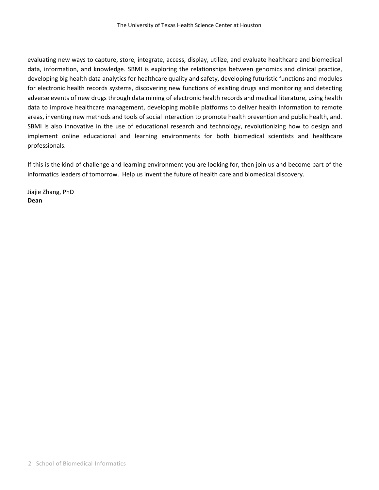evaluating new ways to capture, store, integrate, access, display, utilize, and evaluate healthcare and biomedical data, information, and knowledge. SBMI is exploring the relationships between genomics and clinical practice, developing big health data analytics for healthcare quality and safety, developing futuristic functions and modules for electronic health records systems, discovering new functions of existing drugs and monitoring and detecting adverse events of new drugs through data mining of electronic health records and medical literature, using health data to improve healthcare management, developing mobile platforms to deliver health information to remote areas, inventing new methods and tools of social interaction to promote health prevention and public health, and. SBMI is also innovative in the use of educational research and technology, revolutionizing how to design and implement online educational and learning environments for both biomedical scientists and healthcare professionals.

If this is the kind of challenge and learning environment you are looking for, then join us and become part of the informatics leaders of tomorrow. Help us invent the future of health care and biomedical discovery.

Jiajie Zhang, PhD **Dean**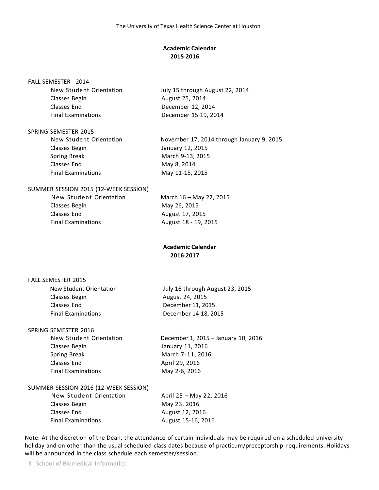# **Academic Calendar 2015 ‐ 2016**

#### FALL SEMESTER 2014

Classes Begin Manuscript August 25, 2014 Classes End December 12, 2014 Final Examinations December 15 19, 2014

New Student Orientation July 15 through August 22, 2014

# SPRING SEMESTER 2015

| $J$ $L$ $R$ $L$ $J$ $L$ $L$ $L$ $L$ $L$ $L$ $L$ $J$ |                                           |
|-----------------------------------------------------|-------------------------------------------|
| New Student Orientation                             | November 17, 2014 through January 9, 2015 |
| Classes Begin                                       | January 12, 2015                          |
| <b>Spring Break</b>                                 | March 9-13, 2015                          |
| Classes End                                         | May 8, 2014                               |
| <b>Final Examinations</b>                           | May 11-15, 2015                           |
|                                                     |                                           |

#### SUMMER SESSION 2015 (12-WEEK SESSION)

| March 16 - May 22, 2015 |
|-------------------------|
|                         |
|                         |
|                         |
|                         |

# **Academic Calendar 2016 ‐ 2017**

#### FALL SEMESTER 2015

| New Student Orientation   | July 16 through August 23, 2015 |
|---------------------------|---------------------------------|
| Classes Begin             | August 24, 2015                 |
| Classes End               | December 11, 2015               |
| <b>Final Examinations</b> | December 14-18, 2015            |

#### SPRING SEMESTER 2016

Classes Begin January 11, 2016 Spring Break March 7-11, 2016 Classes End April 29, 2016 Final Examinations May 2-6, 2016

New Student Orientation **December 1, 2015 – January 10, 2016** 

# SUMMER SESSION 2016 (12-WEEK SESSION)

| April 25 - May 22, 2016 |
|-------------------------|
| May 23, 2016            |
| August 12, 2016         |
| August 15-16, 2016      |
|                         |

Note: At the discretion of the Dean, the attendance of certain individuals may be required on a scheduled university holiday and on other than the usual scheduled class dates because of practicum/preceptorship requirements. Holidays will be announced in the class schedule each semester/session.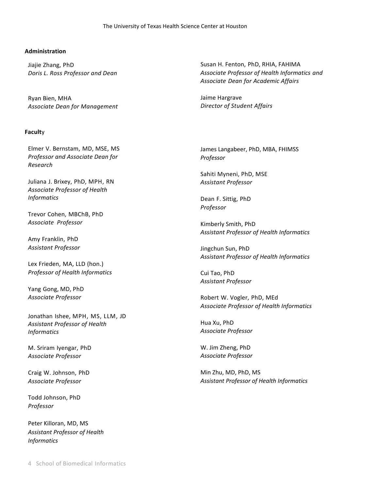#### The University of Texas Health Science Center at Houston

#### **Administration**

Jiajie Zhang, PhD *Doris L. Ross Professor and Dean*

Ryan Bien, MHA *Associate Dean for Management*

#### **Facult**y

Elmer V. Bernstam, MD, MSE, MS *Professor and Associate Dean for Research*

Juliana J. Brixey, PhD, MPH, RN *Associate Professor of Health Informatics*

Trevor Cohen, MBChB, PhD *Associate Professor*

Amy Franklin, PhD *Assistant Professor*

Lex Frieden, MA, LLD (hon.) *Professor of Health Informatics*

Yang Gong, MD, PhD *Associate Professor*

Jonathan Ishee, MPH, MS, LLM, JD *Assistant Professor of Health Informatics*

M. Sriram Iyengar, PhD *Associate Professor*

Craig W. Johnson, PhD *Associate Professor*

Todd Johnson, PhD *Professor*

Peter Killoran, MD, MS *Assistant Professor of Health Informatics*

Susan H. Fenton, PhD, RHIA, FAHIMA *Associate Professor of Health Informatics and Associate Dean for Academic Affairs*

Jaime Hargrave *Director of Student Affairs*

James Langabeer, PhD, MBA, FHIMSS *Professor*

Sahiti Myneni, PhD, MSE *Assistant Professor*

Dean F. Sittig, PhD *Professor*

Kimberly Smith, PhD *Assistant Professor of Health Informatics*

Jingchun Sun, PhD *Assistant Professor of Health Informatics*

Cui Tao, PhD *Assistant Professor*

Robert W. Vogler, PhD, MEd *Associate Professor of Health Informatics*

Hua Xu, PhD *Associate Professor*

W. Jim Zheng, PhD *Associate Professor*

Min Zhu, MD, PhD, MS *Assistant Professor of Health Informatics*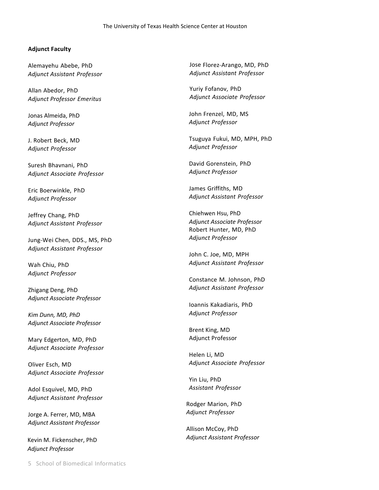# **Adjunct Faculty**

Alemayehu Abebe, PhD *Adjunct Assistant Professor*

Allan Abedor, PhD *Adjunct Professor Emeritus*

Jonas Almeida, PhD *Adjunct Professor*

J. Robert Beck, MD *Adjunct Professor*

Suresh Bhavnani, PhD *Adjunct Associate Professor*

Eric Boerwinkle, PhD *Adjunct Professor*

Jeffrey Chang, PhD *Adjunct Assistant Professor*

Jung-Wei Chen, DDS., MS, PhD *Adjunct Assistant Professor*

Wah Chiu, PhD *Adjunct Professor*

Zhigang Deng, PhD *Adjunct Associate Professor*

*Kim Dunn, MD, PhD Adjunct Associate Professor*

Mary Edgerton, MD, PhD *Adjunct Associate Professor*

Oliver Esch, MD *Adjunct Associate Professor*

Adol Esquivel, MD, PhD *Adjunct Assistant Professor*

Jorge A. Ferrer, MD, MBA *Adjunct Assistant Professor*

Kevin M. Fickenscher, PhD *Adjunct Professor*

Jose Florez-Arango, MD, PhD *Adjunct Assistant Professor*

Yuriy Fofanov, PhD *Adjunct Associate Professor*

John Frenzel, MD, MS *Adjunct Professor*

Tsuguya Fukui, MD, MPH, PhD *Adjunct Professor*

David Gorenstein, PhD *Adjunct Professor*

James Griffiths, MD *Adjunct Assistant Professor*

Chiehwen Hsu, PhD *Adjunct Associate Professor* Robert Hunter, MD, PhD *Adjunct Professor*

John C. Joe, MD, MPH *Adjunct Assistant Professor*

Constance M. Johnson, PhD *Adjunct Assistant Professor*

Ioannis Kakadiaris, PhD *Adjunct Professor*

Brent King, MD Adjunct Professor

Helen Li, MD *Adjunct Associate Professor*

Yin Liu, PhD *Assistant Professor*

Rodger Marion, PhD *Adjunct Professor*

Allison McCoy, PhD *Adjunct Assistant Professor*

5 School of Biomedical Informatics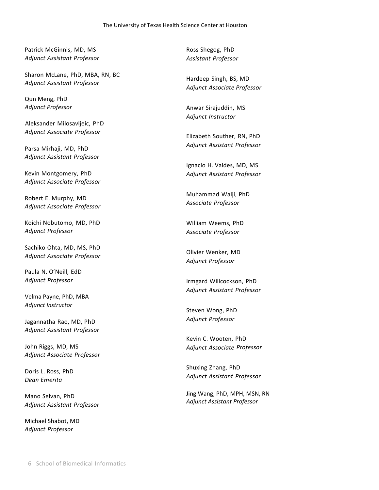Patrick McGinnis, MD, MS *Adjunct Assistant Professor*

Sharon McLane, PhD, MBA, RN, BC *Adjunct Assistant Professor*

Qun Meng, PhD *Adjunct Professor*

Aleksander Milosavljeic, PhD *Adjunct Associate Professor*

Parsa Mirhaji, MD, PhD *Adjunct Assistant Professor*

Kevin Montgomery, PhD *Adjunct Associate Professor*

Robert E. Murphy, MD *Adjunct Associate Professor*

Koichi Nobutomo, MD, PhD *Adjunct Professor*

Sachiko Ohta, MD, MS, PhD *Adjunct Associate Professor*

Paula N. O'Neill, EdD *Adjunct Professor*

Velma Payne, PhD, MBA *Adjunct Instructor*

Jagannatha Rao, MD, PhD *Adjunct Assistant Professor*

John Riggs, MD, MS *Adjunct Associate Professor*

Doris L. Ross, PhD *Dean Emerita*

Mano Selvan, PhD *Adjunct Assistant Professor*

Michael Shabot, MD *Adjunct Professor*

Ross Shegog, PhD *Assistant Professor*

Hardeep Singh, BS, MD *Adjunct Associate Professor*

Anwar Sirajuddin, MS *Adjunct Instructor*

Elizabeth Souther, RN, PhD *Adjunct Assistant Professor*

Ignacio H. Valdes, MD, MS *Adjunct Assistant Professor*

Muhammad Walji, PhD *Associate Professor*

William Weems, PhD *Associate Professor*

Olivier Wenker, MD *Adjunct Professor*

Irmgard Willcockson, PhD *Adjunct Assistant Professor*

Steven Wong, PhD *Adjunct Professor*

Kevin C. Wooten, PhD *Adjunct Associate Professor*

Shuxing Zhang, PhD *Adjunct Assistant Professor*

Jing Wang, PhD, MPH, MSN, RN *Adjunct Assistant Professor*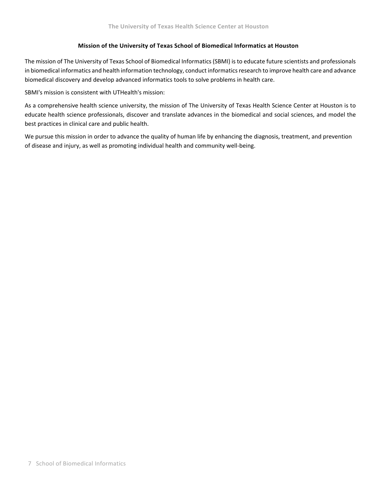# **Mission of the University of Texas School of Biomedical Informatics at Houston**

The mission of The University of Texas School of Biomedical Informatics(SBMI) isto educate future scientists and professionals in biomedical informatics and health information technology, conduct informaticsresearch to improve health care and advance biomedical discovery and develop advanced informatics tools to solve problems in health care.

SBMI's mission is consistent with UTHealth's mission:

As a comprehensive health science university, the mission of The University of Texas Health Science Center at Houston is to educate health science professionals, discover and translate advances in the biomedical and social sciences, and model the best practices in clinical care and public health.

We pursue this mission in order to advance the quality of human life by enhancing the diagnosis, treatment, and prevention of disease and injury, as well as promoting individual health and community well‐being.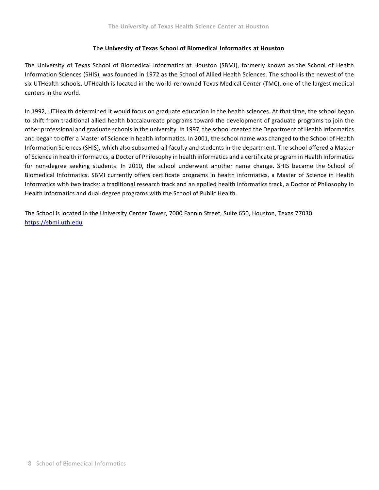# **The University of Texas School of Biomedical Informatics at Houston**

The University of Texas School of Biomedical Informatics at Houston (SBMI), formerly known as the School of Health Information Sciences (SHIS), was founded in 1972 as the School of Allied Health Sciences. The school is the newest of the six UTHealth schools. UTHealth is located in the world-renowned Texas Medical Center (TMC), one of the largest medical centers in the world.

In 1992, UTHealth determined it would focus on graduate education in the health sciences. At that time, the school began to shift from traditional allied health baccalaureate programs toward the development of graduate programs to join the other professional and graduate schools in the university. In 1997, the school created the Department of Health Informatics and began to offer a Master of Science in health informatics. In 2001, the school name was changed to the School of Health Information Sciences (SHIS), which also subsumed all faculty and students in the department. The school offered a Master of Science in health informatics, a Doctor of Philosophy in health informatics and a certificate program in Health Informatics for non-degree seeking students. In 2010, the school underwent another name change. SHIS became the School of Biomedical Informatics. SBMI currently offers certificate programs in health informatics, a Master of Science in Health Informatics with two tracks: a traditional research track and an applied health informatics track, a Doctor of Philosophy in Health Informatics and dual‐degree programs with the School of Public Health.

The School is located in the University Center Tower, 7000 Fannin Street, Suite 650, Houston, Texas 77030 https://sbmi.uth.edu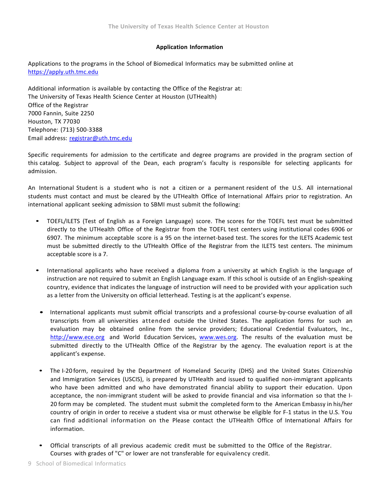# **Application Information**

Applications to the programs in the School of Biomedical Informatics may be submitted online at https://apply.uth.tmc.edu

Additional information is available by contacting the Office of the Registrar at: The University of Texas Health Science Center at Houston (UTHealth) Office of the Registrar 7000 Fannin, Suite 2250 Houston, TX 77030 Telephone: (713) 500-3388 Email address: registrar@uth.tmc.edu

Specific requirements for admission to the certificate and degree programs are provided in the program section of this catalog. Subject to approval of the Dean, each program's faculty is responsible for selecting applicants for admission.

An International Student is a student who is not a citizen or a permanent resident of the U.S. All international students must contact and must be cleared by the UTHealth Office of International Affairs prior to registration. An international applicant seeking admission to SBMI must submit the following:

- TOEFL/ILETS (Test of English as a Foreign Language) score. The scores for the TOEFL test must be submitted directly to the UTHealth Office of the Registrar from the TOEFL test centers using institutional codes 6906 or 6907. The minimum acceptable score is a 95 on the internet‐based test. The scores for the ILETS Academic test must be submitted directly to the UTHealth Office of the Registrar from the ILETS test centers. The minimum acceptable score is a 7.
- International applicants who have received a diploma from a university at which English is the language of instruction are not required to submit an English Language exam. If this school is outside of an English‐speaking country, evidence that indicates the language of instruction will need to be provided with your application such as a letter from the University on official letterhead. Testing is at the applicant's expense.
	- International applicants must submit official transcripts and a professional course-by-course evaluation of all transcripts from all universities attended outside the United States. The application forms for such an evaluation may be obtained online from the service providers; Educational Credential Evaluators, Inc., http://www.ece.org and World Education Services, www.wes.org. The results of the evaluation must be submitted directly to the UTHealth Office of the Registrar by the agency. The evaluation report is at the applicant's expense.
	- The I-20 form, required by the Department of Homeland Security (DHS) and the United States Citizenship and Immigration Services (USCIS), is prepared by UTHealth and issued to qualified non-immigrant applicants who have been admitted and who have demonstrated financial ability to support their education. Upon acceptance, the non-immigrant student will be asked to provide financial and visa information so that the I-20 form may be completed. The student must submit the completed form to the American Embassy in his/her country of origin in order to receive a student visa or must otherwise be eligible for F-1 status in the U.S. You can find additional information on the Please contact the UTHealth Office of International Affairs for information.
- Official transcripts of all previous academic credit must be submitted to the Office of the Registrar. Courses with grades of "C" or lower are not transferable for equivalency credit.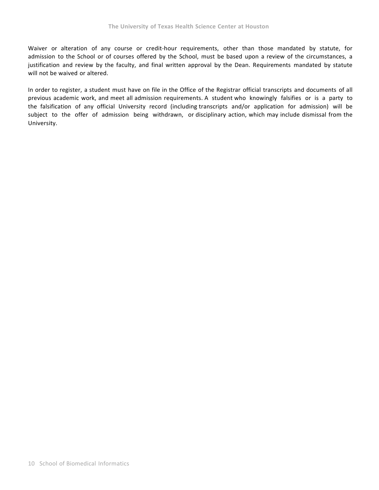Waiver or alteration of any course or credit-hour requirements, other than those mandated by statute, for admission to the School or of courses offered by the School, must be based upon a review of the circumstances, a justification and review by the faculty, and final written approval by the Dean. Requirements mandated by statute will not be waived or altered.

In order to register, a student must have on file in the Office of the Registrar official transcripts and documents of all previous academic work, and meet all admission requirements. A student who knowingly falsifies or is a party to the falsification of any official University record (including transcripts and/or application for admission) will be subject to the offer of admission being withdrawn, or disciplinary action, which may include dismissal from the University.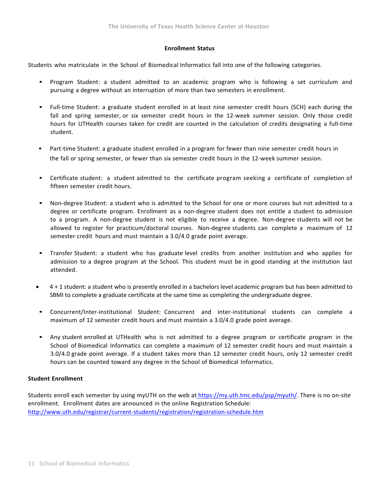#### **Enrollment Status**

Students who matriculate in the School of Biomedical Informatics fall into one of the following categories.

- Program Student: a student admitted to an academic program who is following a set curriculum and pursuing a degree without an interruption of more than two semesters in enrollment.
- Full-time Student: a graduate student enrolled in at least nine semester credit hours (SCH) each during the fall and spring semester, or six semester credit hours in the 12-week summer session. Only those credit hours for UTHealth courses taken for credit are counted in the calculation of credits designating a full-time student.
- Part-time Student: a graduate student enrolled in a program for fewer than nine semester credit hours in the fall or spring semester, or fewer than six semester credit hours in the 12-week summer session.
- Certificate student: a student admitted to the certificate program seeking a certificate of completion of fifteen semester credit hours.
- Non-degree Student: a student who is admitted to the School for one or more courses but not admitted to a degree or certificate program. Enrollment as a non-degree student does not entitle a student to admission to a program. A non-degree student is not eligible to receive a degree. Non-degree students will not be allowed to register for practicum/doctoral courses. Non-degree students can complete a maximum of 12 semester credit hours and must maintain a 3.0/4.0 grade point average.
- Transfer Student: a student who has graduate level credits from another institution and who applies for admission to a degree program at the School. This student must be in good standing at the institution last attended.
- 4 + 1 student: a student who is presently enrolled in a bachelors level academic program but has been admitted to SBMI to complete a graduate certificate at the same time as completing the undergraduate degree.
- Concurrent/Inter-institutional Student: Concurrent and inter-institutional students can complete a maximum of 12 semester credit hours and must maintain a 3.0/4.0 grade point average.
- Any student enrolled at UTHealth who is not admitted to a degree program or certificate program in the School of Biomedical Informatics can complete a maximum of 12 semester credit hours and must maintain a 3.0/4.0 grade point average. If a student takes more than 12 semester credit hours, only 12 semester credit hours can be counted toward any degree in the School of Biomedical Informatics.

# **Student Enrollment**

Students enroll each semester by using myUTH on the web at https://my.uth.tmc.edu/psp/myuth/. There is no on-site enrollment. Enrollment dates are announced in the online Registration Schedule: http://www.uth.edu/registrar/current-students/registration/registration-schedule.htm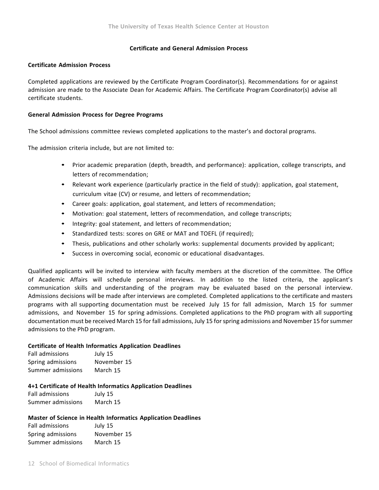## **Certificate and General Admission Process**

#### **Certificate Admission Process**

Completed applications are reviewed by the Certificate Program Coordinator(s). Recommendations for or against admission are made to the Associate Dean for Academic Affairs. The Certificate Program Coordinator(s) advise all certificate students.

#### **General Admission Process for Degree Programs**

The School admissions committee reviews completed applications to the master's and doctoral programs.

The admission criteria include, but are not limited to:

- Prior academic preparation (depth, breadth, and performance): application, college transcripts, and letters of recommendation;
- Relevant work experience (particularly practice in the field of study): application, goal statement, curriculum vitae (CV) or resume, and letters of recommendation;
- Career goals: application, goal statement, and letters of recommendation;
- Motivation: goal statement, letters of recommendation, and college transcripts;
- Integrity: goal statement, and letters of recommendation;
- Standardized tests: scores on GRE or MAT and TOEFL (if required);
- Thesis, publications and other scholarly works: supplemental documents provided by applicant;
- Success in overcoming social, economic or educational disadvantages.

Qualified applicants will be invited to interview with faculty members at the discretion of the committee. The Office of Academic Affairs will schedule personal interviews. In addition to the listed criteria, the applicant's communication skills and understanding of the program may be evaluated based on the personal interview. Admissions decisions will be made after interviews are completed. Completed applications to the certificate and masters programs with all supporting documentation must be received July 15 for fall admission, March 15 for summer admissions, and November 15 for spring admissions. Completed applications to the PhD program with all supporting documentation must be received March 15 for fall admissions, July 15 forspring admissions and November 15 forsummer admissions to the PhD program.

#### **Certificate of Health Informatics Application Deadlines**

| <b>Fall admissions</b> | July 15     |
|------------------------|-------------|
| Spring admissions      | November 15 |
| Summer admissions      | March 15    |

#### **4+1 Certificate of Health Informatics Application Deadlines**

Fall admissions July 15 Summer admissions March 15

#### **Master of Science in Health Informatics Application Deadlines**

Fall admissions July 15 Spring admissions November 15 Summer admissions March 15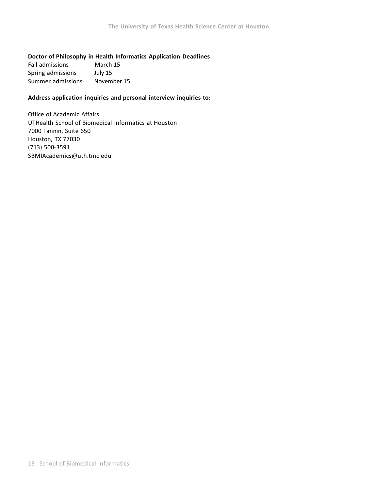# **Doctor of Philosophy in Health Informatics Application Deadlines**

| <b>Fall admissions</b> | March 15    |
|------------------------|-------------|
| Spring admissions      | July 15     |
| Summer admissions      | November 15 |

## **Address application inquiries and personal interview inquiries to:**

Office of Academic Affairs UTHealth School of Biomedical Informatics at Houston 7000 Fannin, Suite 650 Houston, TX 77030 (713) 500-3591 SBMIAcademics@uth.tmc.edu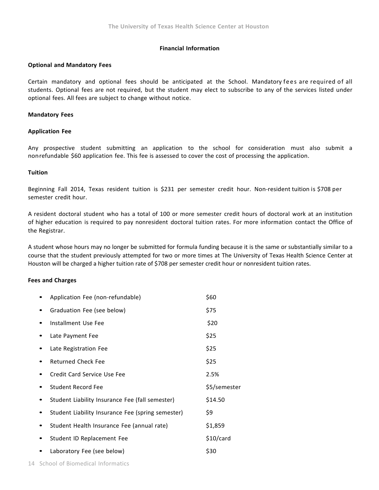# **Financial Information**

#### **Optional and Mandatory Fees**

Certain mandatory and optional fees should be anticipated at the School. Mandatory fees are required of all students. Optional fees are not required, but the student may elect to subscribe to any of the services listed under optional fees. All fees are subject to change without notice.

#### **Mandatory Fees**

#### **Application Fee**

Any prospective student submitting an application to the school for consideration must also submit a non refundable \$60 application fee. This fee is assessed to cover the cost of processing the application.

#### **Tuition**

Beginning Fall 2014, Texas resident tuition is \$231 per semester credit hour. Non-resident tuition is \$708 per semester credit hour.

A resident doctoral student who has a total of 100 or more semester credit hours of doctoral work at an institution of higher education is required to pay nonresident doctoral tuition rates. For more information contact the Office of the Registrar.

A student whose hours may no longer be submitted for formula funding because it is the same or substantially similar to a course that the student previously attempted for two or more times at The University of Texas Health Science Center at Houston will be charged a higher tuition rate of \$708 per semester credit hour or nonresident tuition rates.

# **Fees and Charges**

| Application Fee (non-refundable)                  | \$60         |
|---------------------------------------------------|--------------|
| Graduation Fee (see below)                        | \$75         |
| Installment Use Fee                               | \$20         |
| Late Payment Fee                                  | \$25         |
| Late Registration Fee                             | \$25         |
| Returned Check Fee                                | \$25         |
| Credit Card Service Use Fee                       | 2.5%         |
| <b>Student Record Fee</b>                         | \$5/semester |
| Student Liability Insurance Fee (fall semester)   | \$14.50      |
| Student Liability Insurance Fee (spring semester) | \$9          |
| Student Health Insurance Fee (annual rate)        | \$1,859      |
| Student ID Replacement Fee                        | \$10/card    |
| Laboratory Fee (see below)                        | \$30         |
|                                                   |              |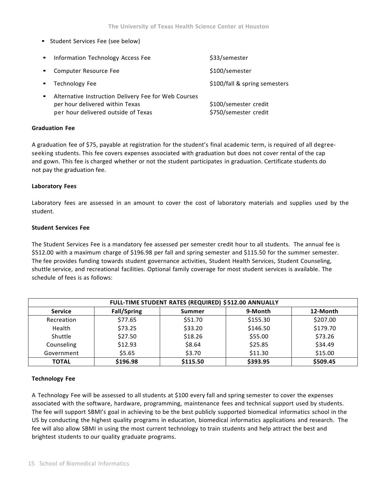• Student Services Fee (see below)

| Information Technology Access Fee                                                                                              | \$33/semester                                  |
|--------------------------------------------------------------------------------------------------------------------------------|------------------------------------------------|
| Computer Resource Fee                                                                                                          | \$100/semester                                 |
| Technology Fee                                                                                                                 | \$100/fall & spring semesters                  |
| Alternative Instruction Delivery Fee for Web Courses<br>per hour delivered within Texas<br>per hour delivered outside of Texas | \$100/semester credit<br>\$750/semester credit |

## **Graduation Fee**

A graduation fee of \$75, payable at registration for the student's final academic term, is required of all degree‐ seeking students. This fee covers expenses associated with graduation but does not cover rental of the cap and gown. This fee is charged whether or not the student participates in graduation. Certificate students do not pay the graduation fee.

#### **Laboratory Fees**

Laboratory fees are assessed in an amount to cover the cost of laboratory materials and supplies used by the student.

#### **Student Services Fee**

The Student Services Fee is a mandatory fee assessed per semester credit hour to all students. The annual fee is \$512.00 with a maximum charge of \$196.98 per fall and spring semester and \$115.50 for the summer semester. The fee provides funding towards student governance activities, Student Health Services, Student Counseling, shuttle service, and recreational facilities. Optional family coverage for most student services is available. The schedule of fees is as follows:

| FULL-TIME STUDENT RATES (REQUIRED) \$512.00 ANNUALLY |                    |          |          |          |
|------------------------------------------------------|--------------------|----------|----------|----------|
| <b>Service</b>                                       | <b>Fall/Spring</b> | Summer   | 9-Month  | 12-Month |
| Recreation                                           | \$77.65            | \$51.70  | \$155.30 | \$207.00 |
| Health                                               | \$73.25            | \$33.20  | \$146.50 | \$179.70 |
| Shuttle                                              | \$27.50            | \$18.26  | \$55.00  | \$73.26  |
| Counseling                                           | \$12.93            | \$8.64   | \$25.85  | \$34.49  |
| Government                                           | \$5.65             | \$3.70   | \$11.30  | \$15.00  |
| <b>TOTAL</b>                                         | \$196.98           | \$115.50 | \$393.95 | \$509.45 |

# **Technology Fee**

A Technology Fee will be assessed to all students at \$100 every fall and spring semester to cover the expenses associated with the software, hardware, programming, maintenance fees and technical support used by students. The fee will support SBMI's goal in achieving to be the best publicly supported biomedical informatics school in the US by conducting the highest quality programs in education, biomedical informatics applications and research. The fee will also allow SBMI in using the most current technology to train students and help attract the best and brightest students to our quality graduate programs.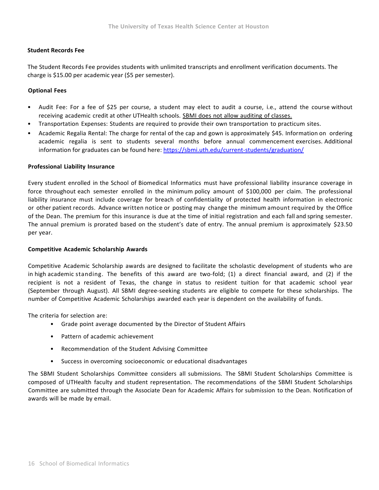# **Student Records Fee**

The Student Records Fee provides students with unlimited transcripts and enrollment verification documents. The charge is \$15.00 per academic year (\$5 per semester).

# **Optional Fees**

- Audit Fee: For a fee of \$25 per course, a student may elect to audit a course, i.e., attend the course without receiving academic credit at other UTHealth schools. SBMI does not allow auditing of classes.
- Transportation Expenses: Students are required to provide their own transportation to practicum sites.
- Academic Regalia Rental: The charge for rental of the cap and gown is approximately \$45. Information on ordering academic regalia is sent to students several months before annual commencement exercises. Additional information for graduates can be found here: https://sbmi.uth.edu/current-students/graduation/

#### **Professional Liability Insurance**

Every student enrolled in the School of Biomedical Informatics must have professional liability insurance coverage in force throughout each semester enrolled in the minimum policy amount of \$100,000 per claim. The professional liability insurance must include coverage for breach of confidentiality of protected health information in electronic or other patient records. Advance written notice or posting may change the minimum amount required by the Office of the Dean. The premium for this insurance is due at the time of initial registration and each fall and spring semester. The annual premium is prorated based on the student's date of entry. The annual premium is approximately \$23.50 per year.

#### **Competitive Academic Scholarship Awards**

Competitive Academic Scholarship awards are designed to facilitate the scholastic development of students who are in high academic standing. The benefits of this award are two-fold; (1) a direct financial award, and (2) if the recipient is not a resident of Texas, the change in status to resident tuition for that academic school year (September through August). All SBMI degree‐‐‐seeking students are eligible to compete for these scholarships. The number of Competitive Academic Scholarships awarded each year is dependent on the availability of funds.

The criteria for selection are:

- Grade point average documented by the Director of Student Affairs
- Pattern of academic achievement
- Recommendation of the Student Advising Committee
- Success in overcoming socioeconomic or educational disadvantages

The SBMI Student Scholarships Committee considers all submissions. The SBMI Student Scholarships Committee is composed of UTHealth faculty and student representation. The recommendations of the SBMI Student Scholarships Committee are submitted through the Associate Dean for Academic Affairs for submission to the Dean. Notification of awards will be made by email.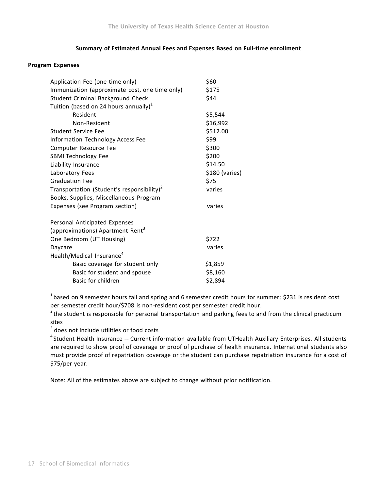# **Summary of Estimated Annual Fees and Expenses Based on Full‐‐‐time enrollment**

#### **Program Expenses**

| Application Fee (one-time only)                        | \$60           |
|--------------------------------------------------------|----------------|
| Immunization (approximate cost, one time only)         | \$175          |
| Student Criminal Background Check                      | \$44           |
| Tuition (based on 24 hours annually) $1$               |                |
| Resident                                               | \$5,544        |
| Non-Resident                                           | \$16,992       |
| Student Service Fee                                    | \$512.00       |
| <b>Information Technology Access Fee</b>               | \$99           |
| Computer Resource Fee                                  | \$300          |
| SBMI Technology Fee                                    | \$200          |
| Liability Insurance                                    | \$14.50        |
| Laboratory Fees                                        | \$180 (varies) |
| <b>Graduation Fee</b>                                  | \$75           |
| Transportation (Student's responsibility) <sup>2</sup> | varies         |
| Books, Supplies, Miscellaneous Program                 |                |
| Expenses (see Program section)                         | varies         |
| Personal Anticipated Expenses                          |                |
| (approximations) Apartment Rent <sup>3</sup>           |                |
| One Bedroom (UT Housing)                               | \$722          |
| Daycare                                                | varies         |
| Health/Medical Insurance <sup>4</sup>                  |                |
| Basic coverage for student only                        | \$1,859        |
| Basic for student and spouse                           | \$8,160        |
| Basic for children                                     | \$2,894        |

 $1$  based on 9 semester hours fall and spring and 6 semester credit hours for summer; \$231 is resident cost per semester credit hour/\$708 is non-resident cost per semester credit hour.

 $2$  the student is responsible for personal transportation and parking fees to and from the clinical practicum sites

<sup>3</sup> does not include utilities or food costs

 $4$  Student Health Insurance – Current information available from UTHealth Auxiliary Enterprises. All students are required to show proof of coverage or proof of purchase of health insurance. International students also must provide proof of repatriation coverage or the student can purchase repatriation insurance for a cost of \$75/per year.

Note: All of the estimates above are subject to change without prior notification.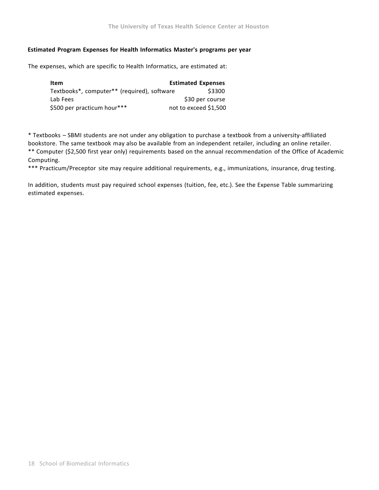# **Estimated Program Expenses for Health Informatics Master's programs per year**

The expenses, which are specific to Health Informatics, are estimated at:

| Item                                        | <b>Estimated Expenses</b> |
|---------------------------------------------|---------------------------|
| Textbooks*, computer** (required), software | \$3300                    |
| Lab Fees                                    | \$30 per course           |
| \$500 per practicum hour***                 | not to exceed \$1,500     |

\* Textbooks – SBMI students are not under any obligation to purchase a textbook from a university‐‐‐affiliated bookstore. The same textbook may also be available from an independent retailer, including an online retailer. \*\* Computer (\$2,500 first year only) requirements based on the annual recommendation of the Office of Academic Computing.

\*\*\* Practicum/Preceptor site may require additional requirements, e.g., immunizations, insurance, drug testing.

In addition, students must pay required school expenses (tuition, fee, etc.). See the Expense Table summarizing estimated expenses.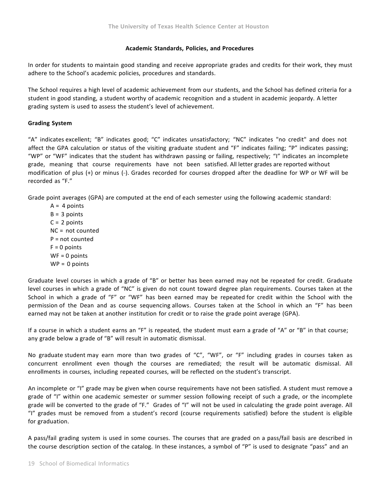#### **Academic Standards, Policies, and Procedures**

In order for students to maintain good standing and receive appropriate grades and credits for their work, they must adhere to the School's academic policies, procedures and standards.

The School requires a high level of academic achievement from our students, and the School has defined criteria for a student in good standing, a student worthy of academic recognition and a student in academic jeopardy. A letter grading system is used to assess the student's level of achievement.

# **Grading System**

"A" indicates excellent; "B" indicates good; "C" indicates unsatisfactory; "NC" indicates "no credit" and does not affect the GPA calculation or status of the visiting graduate student and "F" indicates failing; "P" indicates passing; "WP" or "WF" indicates that the student has withdrawn passing or failing, respectively; "I" indicates an incomplete grade, meaning that course requirements have not been satisfied. All letter grades are reported without modification of plus (+) or minus (-). Grades recorded for courses dropped after the deadline for WP or WF will be recorded as "F."

Grade point averages (GPA) are computed at the end of each semester using the following academic standard:

 $A = 4$  points  $B = 3$  points  $C = 2$  points NC = not counted P = not counted  $F = 0$  points  $WF = 0$  points  $WP = 0$  points

Graduate level courses in which a grade of "B" or better has been earned may not be repeated for credit. Graduate level courses in which a grade of "NC" is given do not count toward degree plan requirements. Courses taken at the School in which a grade of "F" or "WF" has been earned may be repeated for credit within the School with the permission of the Dean and as course sequencing allows. Courses taken at the School in which an "F" has been earned may not be taken at another institution for credit or to raise the grade point average (GPA).

If a course in which a student earns an "F" is repeated, the student must earn a grade of "A" or "B" in that course; any grade below a grade of "B" will result in automatic dismissal.

No graduate student may earn more than two grades of "C", "WF", or "F" including grades in courses taken as concurrent enrollment even though the courses are remediated; the result will be automatic dismissal. All enrollments in courses, including repeated courses, will be reflected on the student's transcript.

An incomplete or "I" grade may be given when course requirements have not been satisfied. A student must remove a grade of "I" within one academic semester or summer session following receipt of such a grade, or the incomplete grade will be converted to the grade of "F." Grades of "I" will not be used in calculating the grade point average. All "I" grades must be removed from a student's record (course requirements satisfied) before the student is eligible for graduation.

A pass/fail grading system is used in some courses. The courses that are graded on a pass/fail basis are described in the course description section of the catalog. In these instances, a symbol of "P" is used to designate "pass" and an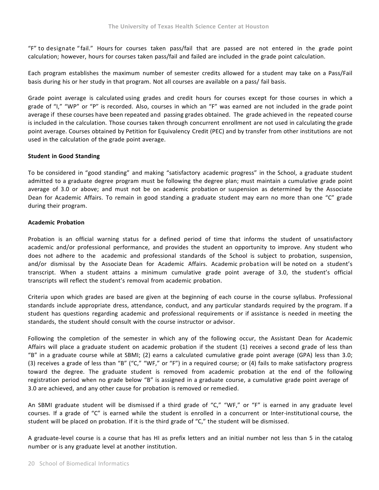"F" to designate " fail." Hours for courses taken pass/fail that are passed are not entered in the grade point calculation; however, hours for courses taken pass/fail and failed are included in the grade point calculation.

Each program establishes the maximum number of semester credits allowed for a student may take on a Pass/Fail basis during his or her study in that program. Not all courses are available on a pass/ fail basis.

Grade point average is calculated using grades and credit hours for courses except for those courses in which a grade of "I," "WP" or "P" is recorded. Also, courses in which an "F" was earned are not included in the grade point average if these courses have been repeated and passing grades obtained. The grade achieved in the repeated course is included in the calculation. Those courses taken through concurrent enrollment are not used in calculating the grade point average. Courses obtained by Petition for Equivalency Credit (PEC) and by transfer from other institutions are not used in the calculation of the grade point average.

# **Student in Good Standing**

To be considered in "good standing" and making "satisfactory academic progress" in the School, a graduate student admitted to a graduate degree program must be following the degree plan; must maintain a cumulative grade point average of 3.0 or above; and must not be on academic probation or suspension as determined by the Associate Dean for Academic Affairs. To remain in good standing a graduate student may earn no more than one "C" grade during their program.

# **Academic Probation**

Probation is an official warning status for a defined period of time that informs the student of unsatisfactory academic and/or professional performance, and provides the student an opportunity to improve. Any student who does not adhere to the academic and professional standards of the School is subject to probation, suspension, and/or dismissal by the Associate Dean for Academic Affairs. Academic probation will be noted on a student's transcript. When a student attains a minimum cumulative grade point average of 3.0, the student's official transcripts will reflect the student's removal from academic probation.

Criteria upon which grades are based are given at the beginning of each course in the course syllabus. Professional standards include appropriate dress, attendance, conduct, and any particular standards required by the program. If a student has questions regarding academic and professional requirements or if assistance is needed in meeting the standards, the student should consult with the course instructor or advisor.

Following the completion of the semester in which any of the following occur, the Assistant Dean for Academic Affairs will place a graduate student on academic probation if the student (1) receives a second grade of less than "B" in a graduate course while at SBMI; (2) earns a calculated cumulative grade point average (GPA) less than 3.0; (3) receives a grade of less than "B" ("C," "WF," or "F") in a required course; or (4) fails to make satisfactory progress toward the degree. The graduate student is removed from academic probation at the end of the following registration period when no grade below "B" is assigned in a graduate course, a cumulative grade point average of 3.0 are achieved, and any other cause for probation is removed or remedied.

An SBMI graduate student will be dismissed if a third grade of "C," "WF," or "F" is earned in any graduate level courses. If a grade of "C" is earned while the student is enrolled in a concurrent or Inter-institutional course, the student will be placed on probation. If it is the third grade of "C," the student will be dismissed.

A graduate-level course is a course that has HI as prefix letters and an initial number not less than 5 in the catalog number or is any graduate level at another institution.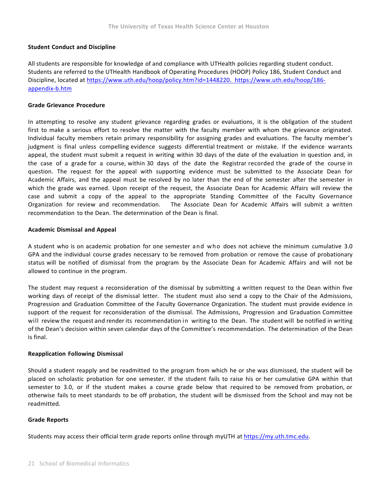# **Student Conduct and Discipline**

All students are responsible for knowledge of and compliance with UTHealth policies regarding student conduct. Students are referred to the UTHealth Handbook of Operating Procedures (HOOP) Policy 186, Student Conduct and Discipline, located at https://www.uth.edu/hoop/policy.htm?id=1448220. https://www.uth.edu/hoop/186‐ appendix‐b.htm

#### **Grade Grievance Procedure**

In attempting to resolve any student grievance regarding grades or evaluations, it is the obligation of the student first to make a serious effort to resolve the matter with the faculty member with whom the grievance originated. Individual faculty members retain primary responsibility for assigning grades and evaluations. The faculty member's judgment is final unless compelling evidence suggests differential treatment or mistake. If the evidence warrants appeal, the student must submit a request in writing within 30 days of the date of the evaluation in question and, in the case of a grade for a course, within 30 days of the date the Registrar recorded the grade of the course in question. The request for the appeal with supporting evidence must be submitted to the Associate Dean for Academic Affairs, and the appeal must be resolved by no later than the end of the semester after the semester in which the grade was earned. Upon receipt of the request, the Associate Dean for Academic Affairs will review the case and submit a copy of the appeal to the appropriate Standing Committee of the Faculty Governance Organization for review and recommendation. The Associate Dean for Academic Affairs will submit a written recommendation to the Dean. The determination of the Dean is final.

#### **Academic Dismissal and Appeal**

A student who is on academic probation for one semester and who does not achieve the minimum cumulative 3.0 GPA and the individual course grades necessary to be removed from probation or remove the cause of probationary status will be notified of dismissal from the program by the Associate Dean for Academic Affairs and will not be allowed to continue in the program.

The student may request a reconsideration of the dismissal by submitting a written request to the Dean within five working days of receipt of the dismissal letter. The student must also send a copy to the Chair of the Admissions, Progression and Graduation Committee of the Faculty Governance Organization. The student must provide evidence in support of the request for reconsideration of the dismissal. The Admissions, Progression and Graduation Committee will review the request and render its recommendation in writing to the Dean. The student will be notified in writing of the Dean's decision within seven calendar days of the Committee's recommendation. The determination of the Dean is final.

# **Reapplication Following Dismissal**

Should a student reapply and be readmitted to the program from which he or she was dismissed, the student will be placed on scholastic probation for one semester. If the student fails to raise his or her cumulative GPA within that semester to 3.0, or if the student makes a course grade below that required to be removed from probation, or otherwise fails to meet standards to be off probation, the student will be dismissed from the School and may not be readmitted.

# **Grade Reports**

Students may access their official term grade reports online through myUTH at https://my.uth.tmc.edu.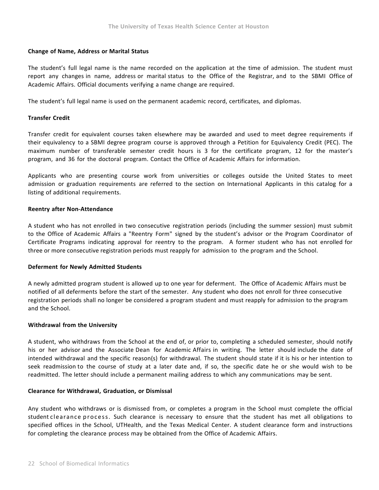# **Change of Name, Address or Marital Status**

The student's full legal name is the name recorded on the application at the time of admission. The student must report any changes in name, address or marital status to the Office of the Registrar, and to the SBMI Office of Academic Affairs. Official documents verifying a name change are required.

The student's full legal name is used on the permanent academic record, certificates, and diplomas.

# **Transfer Credit**

Transfer credit for equivalent courses taken elsewhere may be awarded and used to meet degree requirements if their equivalency to a SBMI degree program course is approved through a Petition for Equivalency Credit (PEC). The maximum number of transferable semester credit hours is 3 for the certificate program, 12 for the master's program, and 36 for the doctoral program. Contact the Office of Academic Affairs for information.

Applicants who are presenting course work from universities or colleges outside the United States to meet admission or graduation requirements are referred to the section on International Applicants in this catalog for a listing of additional requirements.

#### **Reentry after Non‐‐‐Attendance**

A student who has not enrolled in two consecutive registration periods (including the summer session) must submit to the Office of Academic Affairs a "Reentry Form" signed by the student's advisor or the Program Coordinator of Certificate Programs indicating approval for reentry to the program. A former student who has not enrolled for three or more consecutive registration periods must reapply for admission to the program and the School.

#### **Deferment for Newly Admitted Students**

A newly admitted program student is allowed up to one year for deferment. The Office of Academic Affairs must be notified of all deferments before the start of the semester. Any student who does not enroll for three consecutive registration periods shall no longer be considered a program student and must reapply for admission to the program and the School.

#### **Withdrawal from the University**

A student, who withdraws from the School at the end of, or prior to, completing a scheduled semester, should notify his or her advisor and the Associate Dean for Academic Affairs in writing. The letter should include the date of intended withdrawal and the specific reason(s) for withdrawal. The student should state if it is his or her intention to seek readmission to the course of study at a later date and, if so, the specific date he or she would wish to be readmitted. The letter should include a permanent mailing address to which any communications may be sent.

#### **Clearance for Withdrawal, Graduation, or Dismissal**

Any student who withdraws or is dismissed from, or completes a program in the School must complete the official student clearance process. Such clearance is necessary to ensure that the student has met all obligations to specified offices in the School, UTHealth, and the Texas Medical Center. A student clearance form and instructions for completing the clearance process may be obtained from the Office of Academic Affairs.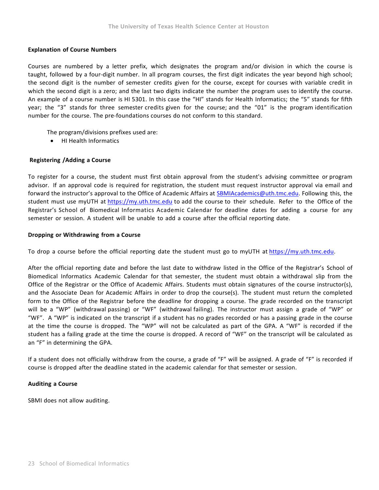# **Explanation of Course Numbers**

Courses are numbered by a letter prefix, which designates the program and/or division in which the course is taught, followed by a four-digit number. In all program courses, the first digit indicates the year beyond high school; the second digit is the number of semester credits given for the course, except for courses with variable credit in which the second digit is a zero; and the last two digits indicate the number the program uses to identify the course. An example of a course number is HI 5301. In this case the "HI" stands for Health Informatics; the "5" stands for fifth year; the "3" stands for three semester credits given for the course; and the "01" is the program identification number for the course. The pre-foundations courses do not conform to this standard.

The program/divisions prefixes used are:

• HI Health Informatics

#### **Registering /Adding a Course**

To register for a course, the student must first obtain approval from the student's advising committee or program advisor. If an approval code is required for registration, the student must request instructor approval via email and forward the instructor's approval to the Office of Academic Affairs at SBMIAcademics@uth.tmc.edu. Following this, the student must use myUTH at https://my.uth.tmc.edu to add the course to their schedule. Refer to the Office of the Registrar's School of Biomedical Informatics Academic Calendar for deadline dates for adding a course for any semester or session. A student will be unable to add a course after the official reporting date.

#### **Dropping or Withdrawing from a Course**

To drop a course before the official reporting date the student must go to myUTH at https://my.uth.tmc.edu.

After the official reporting date and before the last date to withdraw listed in the Office of the Registrar's School of Biomedical Informatics Academic Calendar for that semester, the student must obtain a withdrawal slip from the Office of the Registrar or the Office of Academic Affairs. Students must obtain signatures of the course instructor(s), and the Associate Dean for Academic Affairs in order to drop the course(s). The student must return the completed form to the Office of the Registrar before the deadline for dropping a course. The grade recorded on the transcript will be a "WP" (withdrawal passing) or "WF" (withdrawal failing). The instructor must assign a grade of "WP" or "WF". A "WP" is indicated on the transcript if a student has no grades recorded or has a passing grade in the course at the time the course is dropped. The "WP" will not be calculated as part of the GPA. A "WF" is recorded if the student has a failing grade at the time the course is dropped. A record of "WF" on the transcript will be calculated as an "F" in determining the GPA.

If a student does not officially withdraw from the course, a grade of "F" will be assigned. A grade of "F" is recorded if course is dropped after the deadline stated in the academic calendar for that semester or session.

# **Auditing a Course**

SBMI does not allow auditing.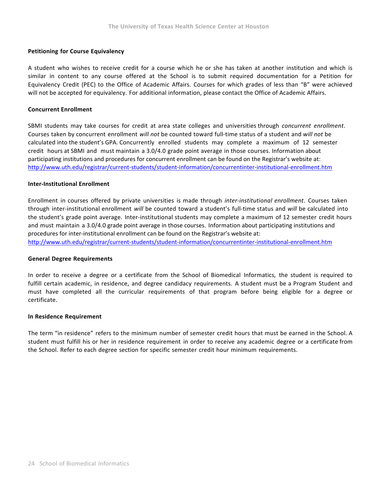# **Petitioning for Course Equivalency**

A student who wishes to receive credit for a course which he or she has taken at another institution and which is similar in content to any course offered at the School is to submit required documentation for a Petition for Equivalency Credit (PEC) to the Office of Academic Affairs. Courses for which grades of less than "B" were achieved will not be accepted for equivalency. For additional information, please contact the Office of Academic Affairs.

#### **Concurrent Enrollment**

SBMI students may take courses for credit at area state colleges and universities through *concurrent enrollment*. Courses taken by concurrent enrollment *will not* be counted toward full‐‐‐time status of a student and *will not* be calculated into the student's GPA. Concurrently enrolled students may complete a maximum of 12 semester credit hours at SBMI and must maintain a 3.0/4.0 grade point average in those courses. Information about participating institutions and procedures for concurrent enrollment can be found on the Registrar's website at: http://www.uth.edu/registrar/current‐students/student‐information/concurrentinter‐institutional‐enrollment.htm

#### **Inter‐Institutional Enrollment**

Enrollment in courses offered by private universities is made through *inter‐‐‐institutional enrollment*. Courses taken through inter-institutional enrollment *will* be counted toward a student's full-time status and *will* be calculated into the student's grade point average. Inter-institutional students may complete a maximum of 12 semester credit hours and must maintain a 3.0/4.0 grade point average in those courses. Information about participating institutions and procedures for inter‐institutional enrollment can be found on the Registrar's website at:

http://www.uth.edu/registrar/current‐students/student‐information/concurrentinter‐institutional‐enrollment.htm

#### **General Degree Requirements**

In order to receive a degree or a certificate from the School of Biomedical Informatics, the student is required to fulfill certain academic, in residence, and degree candidacy requirements. A student must be a Program Student and must have completed all the curricular requirements of that program before being eligible for a degree or certificate.

# **In Residence Requirement**

The term "in residence" refers to the minimum number of semester credit hours that must be earned in the School. A student must fulfill his or her in residence requirement in order to receive any academic degree or a certificate from the School. Refer to each degree section for specific semester credit hour minimum requirements.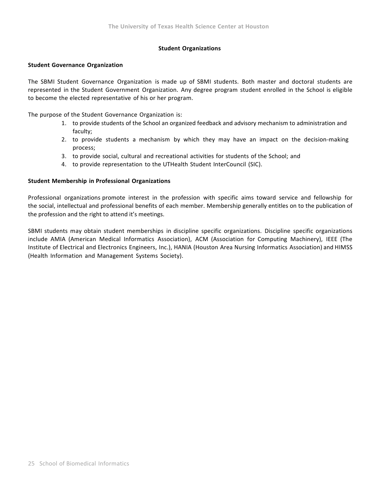## **Student Organizations**

#### **Student Governance Organization**

The SBMI Student Governance Organization is made up of SBMI students. Both master and doctoral students are represented in the Student Government Organization. Any degree program student enrolled in the School is eligible to become the elected representative of his or her program.

The purpose of the Student Governance Organization is:

- 1. to provide students of the School an organized feedback and advisory mechanism to administration and faculty;
- 2. to provide students a mechanism by which they may have an impact on the decision-making process;
- 3. to provide social, cultural and recreational activities for students of the School; and
- 4. to provide representation to the UTHealth Student InterCouncil (SIC).

#### **Student Membership in Professional Organizations**

Professional organizations promote interest in the profession with specific aims toward service and fellowship for the social, intellectual and professional benefits of each member. Membership generally entitles on to the publication of the profession and the right to attend it's meetings.

SBMI students may obtain student memberships in discipline specific organizations. Discipline specific organizations include AMIA (American Medical Informatics Association), ACM (Association for Computing Machinery), IEEE (The Institute of Electrical and Electronics Engineers, Inc.), HANIA (Houston Area Nursing Informatics Association) and HIMSS (Health Information and Management Systems Society).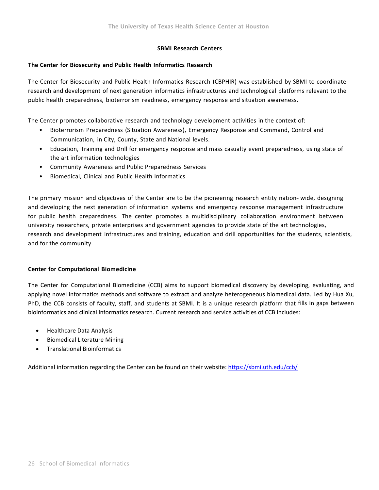# **SBMI Research Centers**

# **The Center for Biosecurity and Public Health Informatics Research**

The Center for Biosecurity and Public Health Informatics Research (CBPHIR) was established by SBMI to coordinate research and development of next generation informatics infrastructures and technological platforms relevant to the public health preparedness, bioterrorism readiness, emergency response and situation awareness.

The Center promotes collaborative research and technology development activities in the context of:

- Bioterrorism Preparedness (Situation Awareness), Emergency Response and Command, Control and Communication, in City, County, State and National levels.
- Education, Training and Drill for emergency response and mass casualty event preparedness, using state of the art information technologies
- Community Awareness and Public Preparedness Services
- Biomedical, Clinical and Public Health Informatics

The primary mission and objectives of the Center are to be the pioneering research entity nation– wide, designing and developing the next generation of information systems and emergency response management infrastructure for public health preparedness. The center promotes a multidisciplinary collaboration environment between university researchers, private enterprises and government agencies to provide state of the art technologies, research and development infrastructures and training, education and drill opportunities for the students, scientists, and for the community.

# **Center for Computational Biomedicine**

The Center for Computational Biomedicine (CCB) aims to support biomedical discovery by developing, evaluating, and applying novel informatics methods and software to extract and analyze heterogeneous biomedical data. Led by Hua Xu, PhD, the CCB consists of faculty, staff, and students at SBMI. It is a unique research platform that fills in gaps between bioinformatics and clinical informatics research. Current research and service activities of CCB includes:

- Healthcare Data Analysis
- Biomedical Literature Mining
- Translational Bioinformatics

Additional information regarding the Center can be found on their website: https://sbmi.uth.edu/ccb/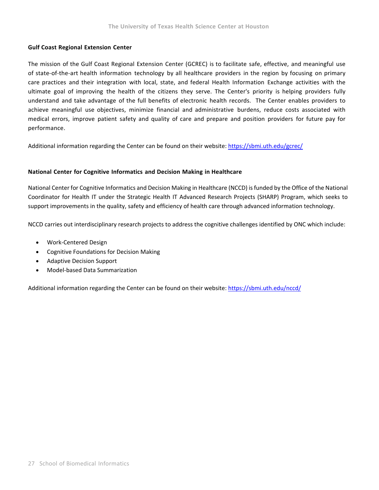# **Gulf Coast Regional Extension Center**

The mission of the Gulf Coast Regional Extension Center (GCREC) is to facilitate safe, effective, and meaningful use of state-of-the-art health information technology by all healthcare providers in the region by focusing on primary care practices and their integration with local, state, and federal Health Information Exchange activities with the ultimate goal of improving the health of the citizens they serve. The Center's priority is helping providers fully understand and take advantage of the full benefits of electronic health records. The Center enables providers to achieve meaningful use objectives, minimize financial and administrative burdens, reduce costs associated with medical errors, improve patient safety and quality of care and prepare and position providers for future pay for performance.

Additional information regarding the Center can be found on their website: https://sbmi.uth.edu/gcrec/

# **National Center for Cognitive Informatics and Decision Making in Healthcare**

National Center for Cognitive Informatics and Decision Making in Healthcare (NCCD) isfunded by the Office of the National Coordinator for Health IT under the Strategic Health IT Advanced Research Projects (SHARP) Program, which seeks to support improvements in the quality, safety and efficiency of health care through advanced information technology.

NCCD carries out interdisciplinary research projects to address the cognitive challenges identified by ONC which include:

- Work‐Centered Design
- Cognitive Foundations for Decision Making
- Adaptive Decision Support
- Model-based Data Summarization

Additional information regarding the Center can be found on their website: https://sbmi.uth.edu/nccd/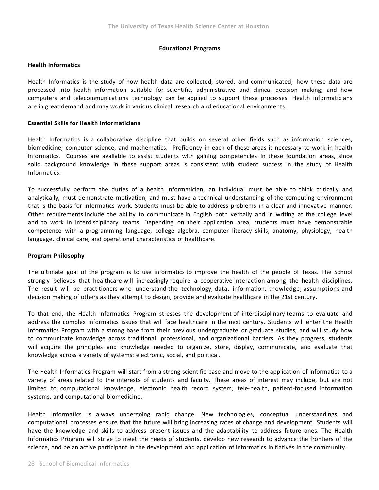## **Educational Programs**

#### **Health Informatics**

Health Informatics is the study of how health data are collected, stored, and communicated; how these data are processed into health information suitable for scientific, administrative and clinical decision making; and how computers and telecommunications technology can be applied to support these processes. Health informaticians are in great demand and may work in various clinical, research and educational environments.

# **Essential Skills for Health Informaticians**

Health Informatics is a collaborative discipline that builds on several other fields such as information sciences, biomedicine, computer science, and mathematics. Proficiency in each of these areas is necessary to work in health informatics. Courses are available to assist students with gaining competencies in these foundation areas, since solid background knowledge in these support areas is consistent with student success in the study of Health Informatics.

To successfully perform the duties of a health informatician, an individual must be able to think critically and analytically, must demonstrate motivation, and must have a technical understanding of the computing environment that is the basis for informatics work. Students must be able to address problems in a clear and innovative manner. Other requirements include the ability to communicate in English both verbally and in writing at the college level and to work in interdisciplinary teams. Depending on their application area, students must have demonstrable competence with a programming language, college algebra, computer literacy skills, anatomy, physiology, health language, clinical care, and operational characteristics of healthcare.

# **Program Philosophy**

The ultimate goal of the program is to use informatics to improve the health of the people of Texas. The School strongly believes that healthcare will increasingly require a cooperative interaction among the health disciplines. The result will be practitioners who understand the technology, data, information, knowledge, assumptions and decision making of others as they attempt to design, provide and evaluate healthcare in the 21st century.

To that end, the Health Informatics Program stresses the development of interdisciplinary teams to evaluate and address the complex informatics issues that will face healthcare in the next century. Students will enter the Health Informatics Program with a strong base from their previous undergraduate or graduate studies, and will study how to communicate knowledge across traditional, professional, and organizational barriers. As they progress, students will acquire the principles and knowledge needed to organize, store, display, communicate, and evaluate that knowledge across a variety of systems: electronic, social, and political.

The Health Informatics Program will start from a strong scientific base and move to the application of informatics to a variety of areas related to the interests of students and faculty. These areas of interest may include, but are not limited to computational knowledge, electronic health record system, tele-health, patient-focused information systems, and computational biomedicine.

Health Informatics is always undergoing rapid change. New technologies, conceptual understandings, and computational processes ensure that the future will bring increasing rates of change and development. Students will have the knowledge and skills to address present issues and the adaptability to address future ones. The Health Informatics Program will strive to meet the needs of students, develop new research to advance the frontiers of the science, and be an active participant in the development and application of informatics initiatives in the community.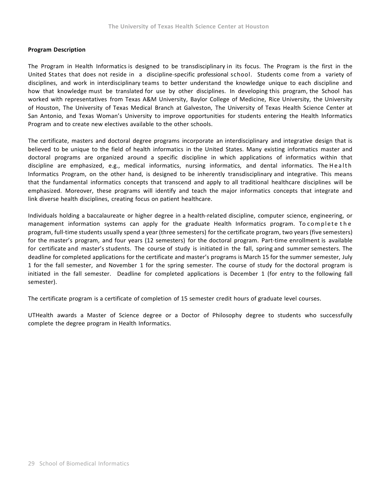# **Program Description**

The Program in Health Informatics is designed to be transdisciplinary in its focus. The Program is the first in the United States that does not reside in a discipline-specific professional school. Students come from a variety of disciplines, and work in interdisciplinary teams to better understand the knowledge unique to each discipline and how that knowledge must be translated for use by other disciplines. In developing this program, the School has worked with representatives from Texas A&M University, Baylor College of Medicine, Rice University, the University of Houston, The University of Texas Medical Branch at Galveston, The University of Texas Health Science Center at San Antonio, and Texas Woman's University to improve opportunities for students entering the Health Informatics Program and to create new electives available to the other schools.

The certificate, masters and doctoral degree programs incorporate an interdisciplinary and integrative design that is believed to be unique to the field of health informatics in the United States. Many existing informatics master and doctoral programs are organized around a specific discipline in which applications of informatics within that discipline are emphasized, e.g., medical informatics, nursing informatics, and dental informatics. The Health Informatics Program, on the other hand, is designed to be inherently transdisciplinary and integrative. This means that the fundamental informatics concepts that transcend and apply to all traditional healthcare disciplines will be emphasized. Moreover, these programs will identify and teach the major informatics concepts that integrate and link diverse health disciplines, creating focus on patient healthcare.

Individuals holding a baccalaureate or higher degree in a health-related discipline, computer science, engineering, or management information systems can apply for the graduate Health Informatics program. To complete the program, full-time students usually spend a year (three semesters) for the certificate program, two years (five semesters) for the master's program, and four years (12 semesters) for the doctoral program. Part-time enrollment is available for certificate and master's students. The course of study is initiated in the fall, spring and summer semesters. The deadline for completed applications for the certificate and master's programs is March 15 for the summer semester, July 1 for the fall semester, and November 1 for the spring semester. The course of study for the doctoral program is initiated in the fall semester. Deadline for completed applications is December 1 (for entry to the following fall semester).

The certificate program is a certificate of completion of 15 semester credit hours of graduate level courses.

UTHealth awards a Master of Science degree or a Doctor of Philosophy degree to students who successfully complete the degree program in Health Informatics.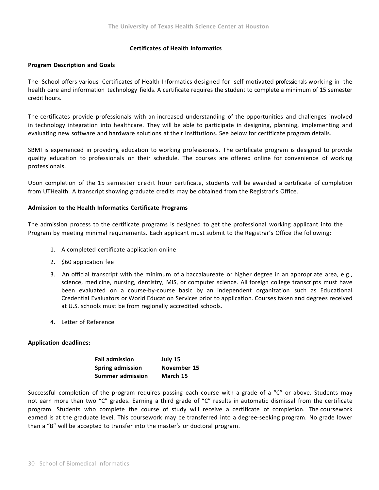## **Certificates of Health Informatics**

## **Program Description and Goals**

The School offers various Certificates of Health Informatics designed for self-motivated professionals working in the health care and information technology fields. A certificate requires the student to complete a minimum of 15 semester credit hours.

The certificates provide professionals with an increased understanding of the opportunities and challenges involved in technology integration into healthcare. They will be able to participate in designing, planning, implementing and evaluating new software and hardware solutions at their institutions. See below for certificate program details.

SBMI is experienced in providing education to working professionals. The certificate program is designed to provide quality education to professionals on their schedule. The courses are offered online for convenience of working professionals.

Upon completion of the 15 semester credit hour certificate, students will be awarded a certificate of completion from UTHealth. A transcript showing graduate credits may be obtained from the Registrar's Office.

## **Admission to the Health Informatics Certificate Programs**

The admission process to the certificate programs is designed to get the professional working applicant into the Program by meeting minimal requirements. Each applicant must submit to the Registrar's Office the following:

- 1. A completed certificate application online
- 2. \$60 application fee
- 3. An official transcript with the minimum of a baccalaureate or higher degree in an appropriate area, e.g., science, medicine, nursing, dentistry, MIS, or computer science. All foreign college transcripts must have been evaluated on a course-by-course basic by an independent organization such as Educational Credential Evaluators or World Education Services prior to application. Courses taken and degrees received at U.S. schools must be from regionally accredited schools.
- 4. Letter of Reference

### **Application deadlines:**

| <b>Fall admission</b>   | July 15     |
|-------------------------|-------------|
| Spring admission        | November 15 |
| <b>Summer admission</b> | March 15    |

Successful completion of the program requires passing each course with a grade of a "C" or above. Students may not earn more than two "C" grades. Earning a third grade of "C" results in automatic dismissal from the certificate program. Students who complete the course of study will receive a certificate of completion. The coursework earned is at the graduate level. This coursework may be transferred into a degree-seeking program. No grade lower than a "B" will be accepted to transfer into the master's or doctoral program.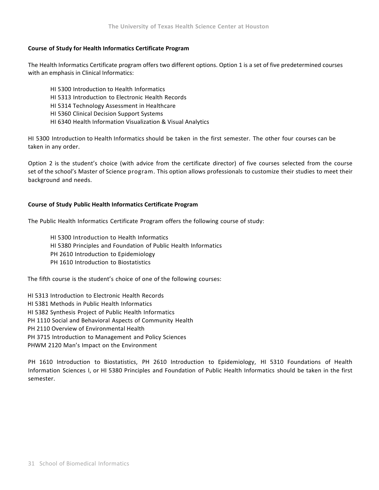## **Course of Study for Health Informatics Certificate Program**

The Health Informatics Certificate program offers two different options. Option 1 is a set of five predetermined courses with an emphasis in Clinical Informatics:

HI 5300 Introduction to Health Informatics HI 5313 Introduction to Electronic Health Records HI 5314 Technology Assessment in Healthcare HI 5360 Clinical Decision Support Systems HI 6340 Health Information Visualization & Visual Analytics

HI 5300 Introduction to Health Informatics should be taken in the first semester. The other four courses can be taken in any order.

Option 2 is the student's choice (with advice from the certificate director) of five courses selected from the course set of the school's Master of Science program. This option allows professionals to customize their studies to meet their background and needs.

## **Course of Study Public Health Informatics Certificate Program**

The Public Health Informatics Certificate Program offers the following course of study:

HI 5300 Introduction to Health Informatics HI 5380 Principles and Foundation of Public Health Informatics PH 2610 Introduction to Epidemiology PH 1610 Introduction to Biostatistics

The fifth course is the student's choice of one of the following courses:

HI 5313 Introduction to Electronic Health Records

HI 5381 Methods in Public Health Informatics

HI 5382 Synthesis Project of Public Health Informatics

PH 1110 Social and Behavioral Aspects of Community Health

PH 2110 Overview of Environmental Health

PH 3715 Introduction to Management and Policy Sciences

PHWM 2120 Man's Impact on the Environment

PH 1610 Introduction to Biostatistics, PH 2610 Introduction to Epidemiology, HI 5310 Foundations of Health Information Sciences I, or HI 5380 Principles and Foundation of Public Health Informatics should be taken in the first semester.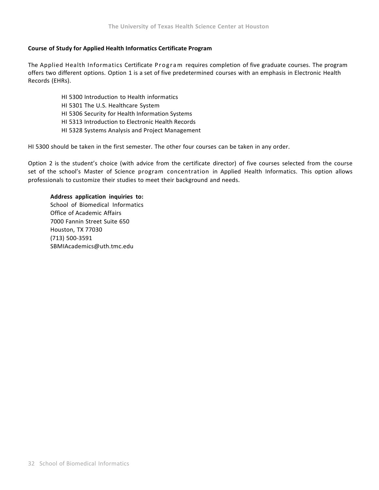## **Course of Study for Applied Health Informatics Certificate Program**

The Applied Health Informatics Certificate Program requires completion of five graduate courses. The program offers two different options. Option 1 is a set of five predetermined courses with an emphasis in Electronic Health Records (EHRs).

> HI 5300 Introduction to Health informatics HI 5301 The U.S. Healthcare System HI 5306 Security for Health Information Systems HI 5313 Introduction to Electronic Health Records HI 5328 Systems Analysis and Project Management

HI 5300 should be taken in the first semester. The other four courses can be taken in any order.

Option 2 is the student's choice (with advice from the certificate director) of five courses selected from the course set of the school's Master of Science program concentration in Applied Health Informatics. This option allows professionals to customize their studies to meet their background and needs.

### **Address application inquiries to:**

School of Biomedical Informatics Office of Academic Affairs 7000 Fannin Street Suite 650 Houston, TX 77030 (713) 500–3591 SBMIAcademics@uth.tmc.edu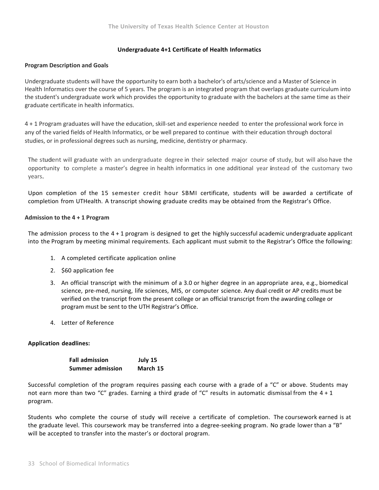## **Undergraduate 4+1 Certificate of Health Informatics**

### **Program Description and Goals**

Undergraduate students will have the opportunity to earn both a bachelor's of arts/science and a Master of Science in Health Informatics over the course of 5 years. The program is an integrated program that overlaps graduate curriculum into the student's undergraduate work which provides the opportunity to graduate with the bachelors at the same time as their graduate certificate in health informatics.

4 + 1 Program graduates will have the education, skill‐set and experience needed to enter the professional work force in any of the varied fields of Health Informatics, or be well prepared to continue with their education through doctoral studies, or in professional degrees such as nursing, medicine, dentistry or pharmacy.

The student will graduate with an undergraduate degree in their selected major course of study, but will also have the opportunity to complete <sup>a</sup> master's degree in health informatics in one additional year instead of the customary two years.

Upon completion of the 15 semester credit hour SBMI certificate, students will be awarded a certificate of completion from UTHealth. A transcript showing graduate credits may be obtained from the Registrar's Office.

## **Admission to the 4 + 1 Program**

The admission process to the 4 + 1 program is designed to get the highly successful academic undergraduate applicant into the Program by meeting minimal requirements. Each applicant must submit to the Registrar's Office the following:

- 1. A completed certificate application online
- 2. \$60 application fee
- 3. An official transcript with the minimum of a 3.0 or higher degree in an appropriate area, e.g., biomedical science, pre‐med, nursing, life sciences, MIS, or computer science. Any dual credit or AP credits must be verified on the transcript from the present college or an official transcript from the awarding college or program must be sent to the UTH Registrar's Office.
- 4. Letter of Reference

## **Application deadlines:**

| <b>Fall admission</b> | July 15  |
|-----------------------|----------|
| Summer admission      | March 15 |

Successful completion of the program requires passing each course with a grade of a "C" or above. Students may not earn more than two "C" grades. Earning a third grade of "C" results in automatic dismissal from the  $4 + 1$ program.

Students who complete the course of study will receive a certificate of completion. The coursework earned is at the graduate level. This coursework may be transferred into a degree-seeking program. No grade lower than a "B" will be accepted to transfer into the master's or doctoral program.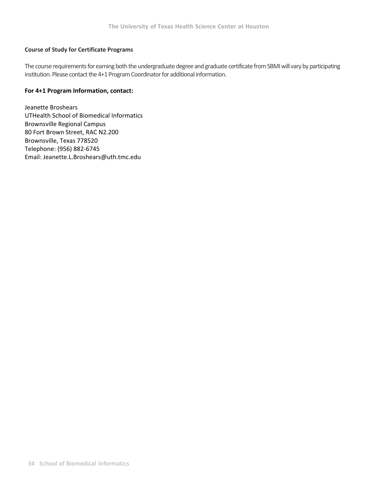## **Course of Study for Certificate Programs**

The course requirements for earning both the undergraduate degree and graduate certificate from SBMI will vary by participating institution. Please contact the 4+1 Program Coordinator for additional information.

## **For 4+1 Program Information, contact:**

Jeanette Broshears UTHealth School of Biomedical Informatics Brownsville Regional Campus 80 Fort Brown Street, RAC N2.200 Brownsville, Texas 778520 Telephone: (956) 882‐6745 Email: Jeanette.L.Broshears@uth.tmc.edu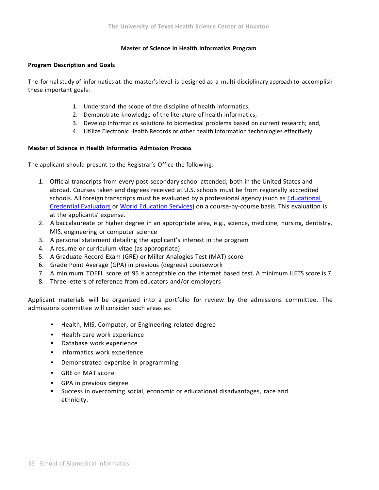## **Master of Science in Health Informatics Program**

### **Program Description and Goals**

The formal study of informatics at the master's level is designed as a multi-disciplinary approach to accomplish these important goals:

- 1. Understand the scope of the discipline of health informatics;
- 2. Demonstrate knowledge of the literature of health informatics;
- 3. Develop informatics solutions to biomedical problems based on current research; and,
- 4. Utilize Electronic Health Records or other health information technologies effectively

## **Master of Science in Health Informatics Admission Process**

The applicant should present to the Registrar's Office the following:

- 1. Official transcripts from every post-secondary school attended, both in the United States and abroad. Courses taken and degrees received at U.S. schools must be from regionally accredited schools. All foreign transcripts must be evaluated by a professional agency (such as Educational Credential Evaluators or World Education Services) on a course‐by‐course basis. This evaluation is at the applicants' expense.
- 2. A baccalaureate or higher degree in an appropriate area, e.g., science, medicine, nursing, dentistry, MIS, engineering or computer science
- 3. A personal statement detailing the applicant's interest in the program
- 4. A resume or curriculum vitae (as appropriate)
- 5. A Graduate Record Exam (GRE) or Miller Analogies Test (MAT) score
- 6. Grade Point Average (GPA) in previous (degrees) coursework
- 7. A minimum TOEFL score of 95 is acceptable on the internet based test. A minimum ILETS score is 7.
- 8. Three letters of reference from educators and/or employers

Applicant materials will be organized into a portfolio for review by the admissions committee. The admissions committee will consider such areas as:

- Health, MIS, Computer, or Engineering related degree
- Health-care work experience
- Database work experience
- Informatics work experience
- Demonstrated expertise in programming
- GRE or MAT score
- GPA in previous degree
- Success in overcoming social, economic or educational disadvantages, race and ethnicity.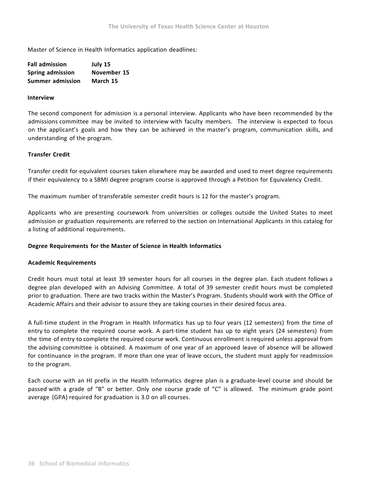Master of Science in Health Informatics application deadlines:

| <b>Fall admission</b>   | July 15     |
|-------------------------|-------------|
| Spring admission        | November 15 |
| <b>Summer admission</b> | March 15    |

### **Interview**

The second component for admission is a personal interview. Applicants who have been recommended by the admissions committee may be invited to interview with faculty members. The interview is expected to focus on the applicant's goals and how they can be achieved in the master's program, communication skills, and understanding of the program.

## **Transfer Credit**

Transfer credit for equivalent courses taken elsewhere may be awarded and used to meet degree requirements if their equivalency to a SBMI degree program course is approved through a Petition for Equivalency Credit.

The maximum number of transferable semester credit hours is 12 for the master's program.

Applicants who are presenting coursework from universities or colleges outside the United States to meet admission or graduation requirements are referred to the section on International Applicants in this catalog for a listing of additional requirements.

### **Degree Requirements for the Master of Science in Health Informatics**

### **Academic Requirements**

Credit hours must total at least 39 semester hours for all courses in the degree plan. Each student follows a degree plan developed with an Advising Committee. A total of 39 semester credit hours must be completed prior to graduation. There are two tracks within the Master's Program. Students should work with the Office of Academic Affairs and their advisor to assure they are taking courses in their desired focus area.

A full-time student in the Program in Health Informatics has up to four years (12 semesters) from the time of entry to complete the required course work. A part-time student has up to eight years (24 semesters) from the time of entry to complete the required course work. Continuous enrollment is required unless approval from the advising committee is obtained. A maximum of one year of an approved leave of absence will be allowed for continuance in the program. If more than one year of leave occurs, the student must apply for readmission to the program.

Each course with an HI prefix in the Health Informatics degree plan is a graduate-level course and should be passed with a grade of "B" or better. Only one course grade of "C" is allowed. The minimum grade point average (GPA) required for graduation is 3.0 on all courses.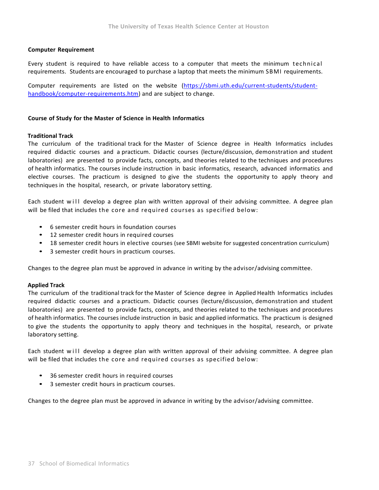## **Computer Requirement**

Every student is required to have reliable access to a computer that meets the minimum technical requirements. Students are encouraged to purchase a laptop that meets the minimum SBMI requirements.

Computer requirements are listed on the website (https://sbmi.uth.edu/current‐students/student‐ handbook/computer-requirements.htm) and are subject to change.

### **Course of Study for the Master of Science in Health Informatics**

## **Traditional Track**

The curriculum of the traditional track for the Master of Science degree in Health Informatics includes required didactic courses and a practicum. Didactic courses (lecture/discussion, demonstration and student laboratories) are presented to provide facts, concepts, and theories related to the techniques and procedures of health informatics. The courses include instruction in basic informatics, research, advanced informatics and elective courses. The practicum is designed to give the students the opportunity to apply theory and techniques in the hospital, research, or private laboratory setting.

Each student will develop a degree plan with written approval of their advising committee. A degree plan will be filed that includes the core and required courses as specified below:

- 6 semester credit hours in foundation courses
- 12 semester credit hours in required courses
- 18 semester credit hours in elective courses (see SBMI website for suggested concentration curriculum)
- 3 semester credit hours in practicum courses.

Changes to the degree plan must be approved in advance in writing by the advisor/advising committee.

## **Applied Track**

The curriculum of the traditional track for the Master of Science degree in Applied Health Informatics includes required didactic courses and a practicum. Didactic courses (lecture/discussion, demonstration and student laboratories) are presented to provide facts, concepts, and theories related to the techniques and procedures of health informatics. The courses include instruction in basic and applied informatics. The practicum is designed to give the students the opportunity to apply theory and techniques in the hospital, research, or private laboratory setting.

Each student will develop a degree plan with written approval of their advising committee. A degree plan will be filed that includes the core and required courses as specified below:

- 36 semester credit hours in required courses
- 3 semester credit hours in practicum courses.

Changes to the degree plan must be approved in advance in writing by the advisor/advising committee.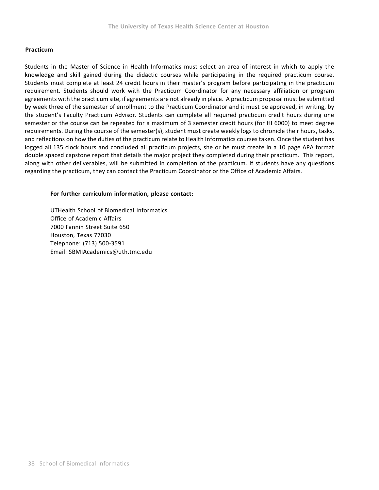## **Practicum**

Students in the Master of Science in Health Informatics must select an area of interest in which to apply the knowledge and skill gained during the didactic courses while participating in the required practicum course. Students must complete at least 24 credit hours in their master's program before participating in the practicum requirement. Students should work with the Practicum Coordinator for any necessary affiliation or program agreements with the practicum site, if agreements are not already in place. A practicum proposal must be submitted by week three of the semester of enrollment to the Practicum Coordinator and it must be approved, in writing, by the student's Faculty Practicum Advisor. Students can complete all required practicum credit hours during one semester or the course can be repeated for a maximum of 3 semester credit hours (for HI 6000) to meet degree requirements. During the course of the semester(s), student must create weekly logs to chronicle their hours, tasks, and reflections on how the duties of the practicum relate to Health Informatics courses taken. Once the student has logged all 135 clock hours and concluded all practicum projects, she or he must create in a 10 page APA format double spaced capstone report that details the major project they completed during their practicum. This report, along with other deliverables, will be submitted in completion of the practicum. If students have any questions regarding the practicum, they can contact the Practicum Coordinator or the Office of Academic Affairs.

## **For further curriculum information, please contact:**

UTHealth School of Biomedical Informatics Office of Academic Affairs 7000 Fannin Street Suite 650 Houston, Texas 77030 Telephone: (713) 500-3591 Email: SBMIAcademics@uth.tmc.edu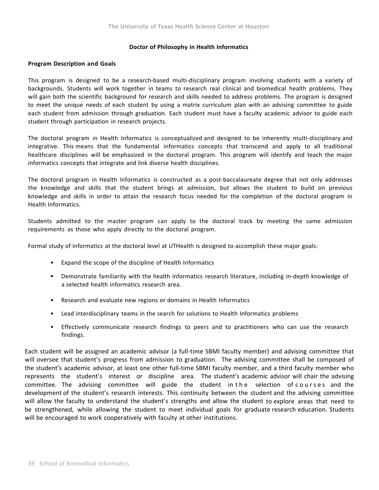### **Doctor of Philosophy in Health Informatics**

### **Program Description and Goals**

This program is designed to be a research-based multi-disciplinary program involving students with a variety of backgrounds. Students will work together in teams to research real clinical and biomedical health problems. They will gain both the scientific background for research and skills needed to address problems. The program is designed to meet the unique needs of each student by using a matrix curriculum plan with an advising committee to guide each student from admission through graduation. Each student must have a faculty academic advisor to guide each student through participation in research projects.

The doctoral program in Health Informatics is conceptualized and designed to be inherently multi-disciplinary and integrative. This means that the fundamental informatics concepts that transcend and apply to all traditional healthcare disciplines will be emphasized in the doctoral program. This program will identify and teach the major informatics concepts that integrate and link diverse health disciplines.

The doctoral program in Health Informatics is constructed as a post-baccalaureate degree that not only addresses the knowledge and skills that the student brings at admission, but allows the student to build on previous knowledge and skills in order to attain the research focus needed for the completion of the doctoral program in Health Informatics.

Students admitted to the master program can apply to the doctoral track by meeting the same admission requirements as those who apply directly to the doctoral program.

Formal study of informatics at the doctoral level at UTHealth is designed to accomplish these major goals:

- Expand the scope of the discipline of Health Informatics
- Demonstrate familiarity with the health informatics research literature, including in-depth knowledge of a selected health informatics research area.
- Research and evaluate new regions or domains in Health Informatics
- Lead interdisciplinary teams in the search for solutions to Health Informatics problems
- Effectively communicate research findings to peers and to practitioners who can use the research findings.

Each student will be assigned an academic advisor (a full-time SBMI faculty member) and advising committee that will oversee that student's progress from admission to graduation. The advising committee shall be composed of the student's academic advisor, at least one other full-time SBMI faculty member, and a third faculty member who represents the student's interest or discipline area. The student's academic advisor will chair the advising committee. The advising committee will guide the student in the selection of courses and the development of the student's research interests. This continuity between the student and the advising committee will allow the faculty to understand the student's strengths and allow the student to explore areas that need to be strengthened, while allowing the student to meet individual goals for graduate research education. Students will be encouraged to work cooperatively with faculty at other institutions.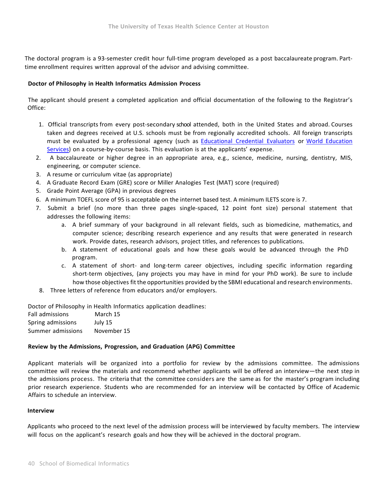The doctoral program is a 93-semester credit hour full-time program developed as a post baccalaureate program. Parttime enrollment requires written approval of the advisor and advising committee.

## **Doctor of Philosophy in Health Informatics Admission Process**

The applicant should present a completed application and official documentation of the following to the Registrar's Office:

- 1. Official transcripts from every post‐‐‐secondary school attended, both in the United States and abroad. Courses taken and degrees received at U.S. schools must be from regionally accredited schools. All foreign transcripts must be evaluated by a professional agency (such as Educational Credential Evaluators or World Education Services) on a course-by-course basis. This evaluation is at the applicants' expense.
- 2. A baccalaureate or higher degree in an appropriate area, e.g., science, medicine, nursing, dentistry, MIS, engineering, or computer science.
- 3. A resume or curriculum vitae (as appropriate)
- 4. A Graduate Record Exam (GRE) score or Miller Analogies Test (MAT) score (required)
- 5. Grade Point Average (GPA) in previous degrees
- 6. A minimum TOEFL score of 95 is acceptable on the internet based test. A minimum ILETS score is 7.
- 7. Submit a brief (no more than three pages single-spaced, 12 point font size) personal statement that addresses the following items:
	- a. A brief summary of your background in all relevant fields, such as biomedicine, mathematics, and computer science; describing research experience and any results that were generated in research work. Provide dates, research advisors, project titles, and references to publications.
	- b. A statement of educational goals and how these goals would be advanced through the PhD program.
	- c. A statement of short– and long-term career objectives, including specific information regarding short-term objectives, (any projects you may have in mind for your PhD work). Be sure to include how those objectives fit the opportunities provided by the SBMI educational and research environments.
- 8. Three letters of reference from educators and/or employers.

Doctor of Philosophy in Health Informatics application deadlines:

| <b>Fall admissions</b> | March 15    |
|------------------------|-------------|
| Spring admissions      | July 15     |
| Summer admissions      | November 15 |

## **Review by the Admissions, Progression, and Graduation (APG) Committee**

Applicant materials will be organized into a portfolio for review by the admissions committee. The admissions committee will review the materials and recommend whether applicants will be offered an interview—the next step in the admissions process. The criteria that the committee considers are the same as for the master's program including prior research experience. Students who are recommended for an interview will be contacted by Office of Academic Affairs to schedule an interview.

## **Interview**

Applicants who proceed to the next level of the admission process will be interviewed by faculty members. The interview will focus on the applicant's research goals and how they will be achieved in the doctoral program.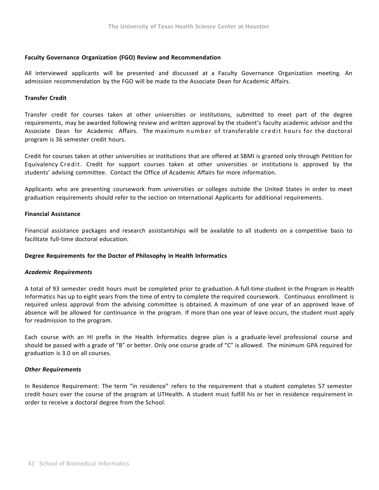## **Faculty Governance Organization (FGO) Review and Recommendation**

All interviewed applicants will be presented and discussed at a Faculty Governance Organization meeting. An admission recommendation by the FGO will be made to the Associate Dean for Academic Affairs.

## **Transfer Credit**

Transfer credit for courses taken at other universities or institutions, submitted to meet part of the degree requirements, may be awarded following review and written approval by the student's faculty academic advisor and the Associate Dean for Academic Affairs. The maximum number of transferable credit hours for the doctoral program is 36 semester credit hours.

Credit for courses taken at other universities or institutions that are offered at SBMI is granted only through Petition for Equivalency Credit. Credit for support courses taken at other universities or institutions is approved by the students' advising committee. Contact the Office of Academic Affairs for more information.

Applicants who are presenting coursework from universities or colleges outside the United States in order to meet graduation requirements should refer to the section on International Applicants for additional requirements.

## **Financial Assistance**

Financial assistance packages and research assistantships will be available to all students on a competitive basis to facilitate full-time doctoral education.

### **Degree Requirements for the Doctor of Philosophy in Health Informatics**

### *Academic Requirements*

A total of 93 semester credit hours must be completed prior to graduation. A full-time student in the Program in Health Informatics has up to eight years from the time of entry to complete the required coursework. Continuous enrollment is required unless approval from the advising committee is obtained. A maximum of one year of an approved leave of absence will be allowed for continuance in the program. If more than one year of leave occurs, the student must apply for readmission to the program.

Each course with an HI prefix in the Health Informatics degree plan is a graduate-level professional course and should be passed with a grade of "B" or better. Only one course grade of "C" is allowed. The minimum GPA required for graduation is 3.0 on all courses.

### *Other Requirements*

In Residence Requirement: The term "in residence" refers to the requirement that a student completes 57 semester credit hours over the course of the program at UTHealth. A student must fulfill his or her in residence requirement in order to receive a doctoral degree from the School.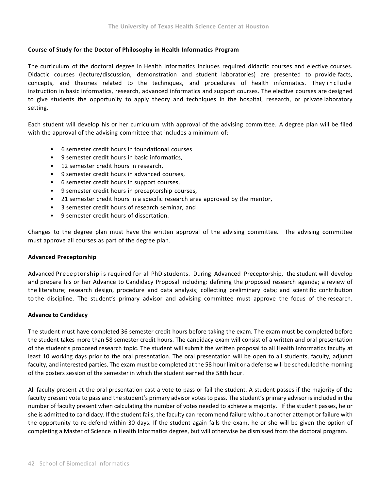## **Course of Study for the Doctor of Philosophy in Health Informatics Program**

The curriculum of the doctoral degree in Health Informatics includes required didactic courses and elective courses. Didactic courses (lecture/discussion, demonstration and student laboratories) are presented to provide facts, concepts, and theories related to the techniques, and procedures of health informatics. They include instruction in basic informatics, research, advanced informatics and support courses. The elective courses are designed to give students the opportunity to apply theory and techniques in the hospital, research, or private laboratory setting.

Each student will develop his or her curriculum with approval of the advising committee. A degree plan will be filed with the approval of the advising committee that includes a minimum of:

- 6 semester credit hours in foundational courses
- 9 semester credit hours in basic informatics,
- 12 semester credit hours in research,
- 9 semester credit hours in advanced courses,
- 6 semester credit hours in support courses,
- 9 semester credit hours in preceptorship courses,
- 21 semester credit hours in a specific research area approved by the mentor,
- 3 semester credit hours of research seminar, and
- 9 semester credit hours of dissertation.

Changes to the degree plan must have the written approval of the advising committee**.**  The advising committee must approve all courses as part of the degree plan.

## **Advanced Preceptorship**

Advanced Preceptorship is required for all PhD students. During Advanced Preceptorship, the student will develop and prepare his or her Advance to Candidacy Proposal including: defining the proposed research agenda; a review of the literature; research design, procedure and data analysis; collecting preliminary data; and scientific contribution to the discipline. The student's primary advisor and advising committee must approve the focus of the research.

## **Advance to Candidacy**

The student must have completed 36 semester credit hours before taking the exam. The exam must be completed before the student takes more than 58 semester credit hours. The candidacy exam will consist of a written and oral presentation of the student's proposed research topic. The student will submit the written proposal to all Health Informatics faculty at least 10 working days prior to the oral presentation. The oral presentation will be open to all students, faculty, adjunct faculty, and interested parties. The exam must be completed at the 58 hour limit or a defense will be scheduled the morning of the posters session of the semester in which the student earned the 58th hour.

All faculty present at the oral presentation cast a vote to pass or fail the student. A student passes if the majority of the faculty present vote to pass and the student's primary advisor votes to pass. The student's primary advisor is included in the number of faculty present when calculating the number of votes needed to achieve a majority. If the student passes, he or she is admitted to candidacy. If the student fails, the faculty can recommend failure without another attempt or failure with the opportunity to re‐defend within 30 days. If the student again fails the exam, he or she will be given the option of completing a Master of Science in Health Informatics degree, but will otherwise be dismissed from the doctoral program.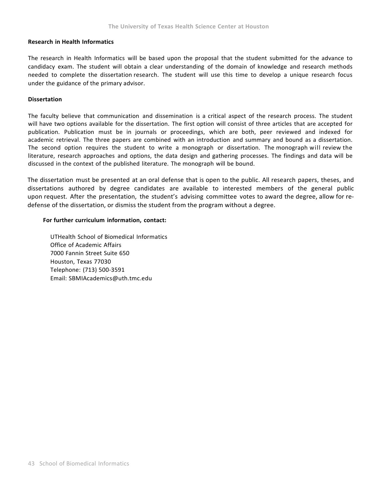### **Research in Health Informatics**

The research in Health Informatics will be based upon the proposal that the student submitted for the advance to candidacy exam. The student will obtain a clear understanding of the domain of knowledge and research methods needed to complete the dissertation research. The student will use this time to develop a unique research focus under the guidance of the primary advisor.

## **Dissertation**

The faculty believe that communication and dissemination is a critical aspect of the research process. The student will have two options available for the dissertation. The first option will consist of three articles that are accepted for publication. Publication must be in journals or proceedings, which are both, peer reviewed and indexed for academic retrieval. The three papers are combined with an introduction and summary and bound as a dissertation. The second option requires the student to write a monograph or dissertation. The monograph will review the literature, research approaches and options, the data design and gathering processes. The findings and data will be discussed in the context of the published literature. The monograph will be bound.

The dissertation must be presented at an oral defense that is open to the public. All research papers, theses, and dissertations authored by degree candidates are available to interested members of the general public upon request. After the presentation, the student's advising committee votes to award the degree, allow for re‐ defense of the dissertation, or dismiss the student from the program without a degree.

## **For further curriculum information, contact:**

UTHealth School of Biomedical Informatics Office of Academic Affairs 7000 Fannin Street Suite 650 Houston, Texas 77030 Telephone: (713) 500-3591 Email: SBMIAcademics@uth.tmc.edu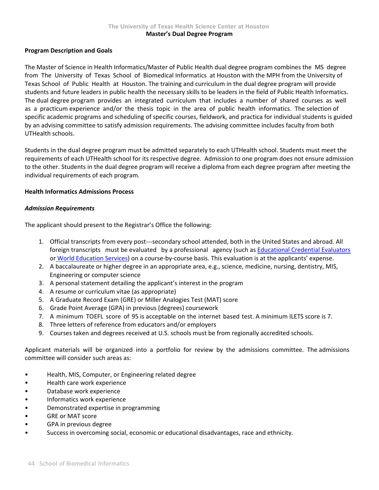## **Program Description and Goals**

The Master of Science in Health Informatics/Master of Public Health dual degree program combines the MS degree from The University of Texas School of Biomedical Informatics at Houston with the MPH from the University of Texas School of Public Health at Houston. The training and curriculum in the dual degree program will provide students and future leaders in public health the necessary skills to be leaders in the field of Public Health Informatics. The dual degree program provides an integrated curriculum that includes a number of shared courses as well as a practicum experience and/or the thesis topic in the area of public health informatics. The selection of specific academic programs and scheduling of specific courses, fieldwork, and practica for individual students is guided by an advising committee to satisfy admission requirements. The advising committee includes faculty from both UTHealth schools.

Students in the dual degree program must be admitted separately to each UTHealth school. Students must meet the requirements of each UTHealth school for its respective degree. Admission to one program does not ensure admission to the other. Students in the dual degree program will receive a diploma from each degree program after meeting the individual requirements of each program.

## **Health Informatics Admissions Process**

## *Admission Requirements*

The applicant should present to the Registrar's Office the following:

- 1. Official transcripts from every post---secondary school attended, both in the United States and abroad. All foreign transcripts must be evaluated by a professional agency (such as Educational Credential Evaluators or World Education Services) on a course‐by‐course basis. This evaluation is at the applicants' expense.
- 2. A baccalaureate or higher degree in an appropriate area, e.g., science, medicine, nursing, dentistry, MIS, Engineering or computer science
- 3. A personal statement detailing the applicant's interest in the program
- 4. A resume or curriculum vitae (as appropriate)
- 5. A Graduate Record Exam (GRE) or Miller Analogies Test (MAT) score
- 6. Grade Point Average (GPA) in previous (degrees) coursework
- 7. A minimum TOEFL score of 95 is acceptable on the internet based test. A minimum ILETS score is 7.
- 8. Three letters of reference from educators and/or employers
- 9. Courses taken and degrees received at U.S. schools must be from regionally accredited schools.

Applicant materials will be organized into a portfolio for review by the admissions committee. The admissions committee will consider such areas as:

- Health, MIS, Computer, or Engineering related degree
- Health care work experience
- Database work experience
- Informatics work experience
- Demonstrated expertise in programming
- GRE or MAT score
- GPA in previous degree
- Success in overcoming social, economic or educational disadvantages, race and ethnicity.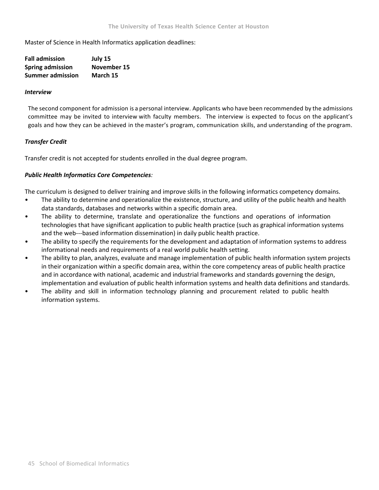Master of Science in Health Informatics application deadlines:

| <b>Fall admission</b>   | July 15     |
|-------------------------|-------------|
| <b>Spring admission</b> | November 15 |
| <b>Summer admission</b> | March 15    |

## *Interview*

The second component for admission is a personal interview. Applicants who have been recommended by the admissions committee may be invited to interview with faculty members. The interview is expected to focus on the applicant's goals and how they can be achieved in the master's program, communication skills, and understanding of the program.

## *Transfer Credit*

Transfer credit is not accepted for students enrolled in the dual degree program.

## *Public Health Informatics Core Competencies:*

The curriculum is designed to deliver training and improve skills in the following informatics competency domains.

- The ability to determine and operationalize the existence, structure, and utility of the public health and health data standards, databases and networks within a specific domain area.
- The ability to determine, translate and operationalize the functions and operations of information technologies that have significant application to public health practice (such as graphical information systems and the web---based information dissemination) in daily public health practice.
- The ability to specify the requirements for the development and adaptation of information systems to address informational needs and requirements of a real world public health setting.
- The ability to plan, analyzes, evaluate and manage implementation of public health information system projects in their organization within a specific domain area, within the core competency areas of public health practice and in accordance with national, academic and industrial frameworks and standards governing the design, implementation and evaluation of public health information systems and health data definitions and standards.
- The ability and skill in information technology planning and procurement related to public health information systems.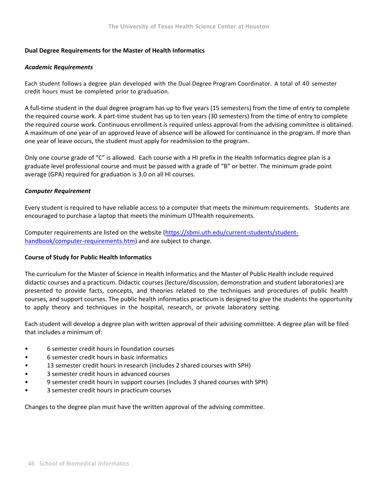## **Dual Degree Requirements for the Master of Health Informatics**

## *Academic Requirements*

Each student follows a degree plan developed with the Dual Degree Program Coordinator. A total of 40 semester credit hours must be completed prior to graduation.

A full‐time student in the dual degree program has up to five years (15 semesters) from the time of entry to complete the required course work. A part-time student has up to ten years (30 semesters) from the time of entry to complete the required course work. Continuous enrollment is required unless approval from the advising committee is obtained. A maximum of one year of an approved leave of absence will be allowed for continuance in the program. If more than one year of leave occurs, the student must apply for readmission to the program.

Only one course grade of "C" is allowed. Each course with a HI prefix in the Health Informatics degree plan is a graduate level professional course and must be passed with a grade of "B" or better. The minimum grade point average (GPA) required for graduation is 3.0 on all HI courses.

## *Computer Requirement*

Every student is required to have reliable access to a computer that meets the minimum requirements. Students are encouraged to purchase a laptop that meets the minimum UTHealth requirements.

Computer requirements are listed on the website (https://sbmi.uth.edu/current-students/studenthandbook/computer-requirements.htm) and are subject to change.

## **Course of Study for Public Health Informatics**

The curriculum for the Master of Science in Health Informatics and the Master of Public Health include required didactic courses and a practicum. Didactic courses (lecture/discussion, demonstration and student laboratories) are presented to provide facts, concepts, and theories related to the techniques and procedures of public health courses, and support courses. The public health informatics practicum is designed to give the students the opportunity to apply theory and techniques in the hospital, research, or private laboratory setting.

Each student will develop a degree plan with written approval of their advising committee. A degree plan will be filed that includes a minimum of:

- 6 semester credit hours in foundation courses
- 6 semester credit hours in basic informatics
- 13 semester credit hours in research (includes 2 shared courses with SPH)
- 3 semester credit hours in advanced courses
- 9 semester credit hours in support courses (includes 3 shared courses with SPH)
- 3 semester credit hours in practicum courses

Changes to the degree plan must have the written approval of the advising committee.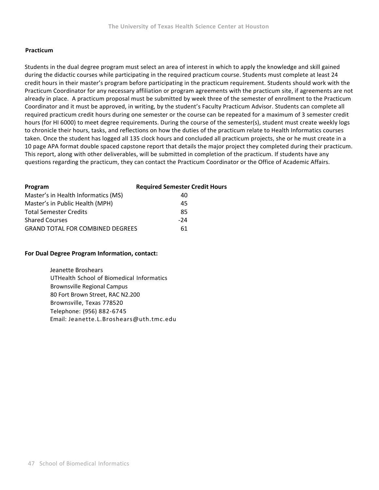## **Practicum**

Students in the dual degree program must select an area of interest in which to apply the knowledge and skill gained during the didactic courses while participating in the required practicum course. Students must complete at least 24 credit hours in their master's program before participating in the practicum requirement. Students should work with the Practicum Coordinator for any necessary affiliation or program agreements with the practicum site, if agreements are not already in place. A practicum proposal must be submitted by week three of the semester of enrollment to the Practicum Coordinator and it must be approved, in writing, by the student's Faculty Practicum Advisor. Students can complete all required practicum credit hours during one semester or the course can be repeated for a maximum of 3 semester credit hours (for HI 6000) to meet degree requirements. During the course of the semester(s), student must create weekly logs to chronicle their hours, tasks, and reflections on how the duties of the practicum relate to Health Informatics courses taken. Once the student has logged all 135 clock hours and concluded all practicum projects, she or he must create in a 10 page APA format double spaced capstone report that details the major project they completed during their practicum. This report, along with other deliverables, will be submitted in completion of the practicum. If students have any questions regarding the practicum, they can contact the Practicum Coordinator or the Office of Academic Affairs.

| <b>Required Semester Credit Hours</b>         |
|-----------------------------------------------|
| 40                                            |
| 45                                            |
| 85                                            |
| -24                                           |
| <b>GRAND TOTAL FOR COMBINED DEGREES</b><br>61 |
|                                               |

## **For Dual Degree Program Information, contact:**

 Jeanette Broshears UTHealth School of Biomedical Informatics Brownsville Regional Campus 80 Fort Brown Street, RAC N2.200 Brownsville, Texas 778520 Telephone: (956) 882‐6745 Email: Jeanette.L.Broshears@uth.tmc.edu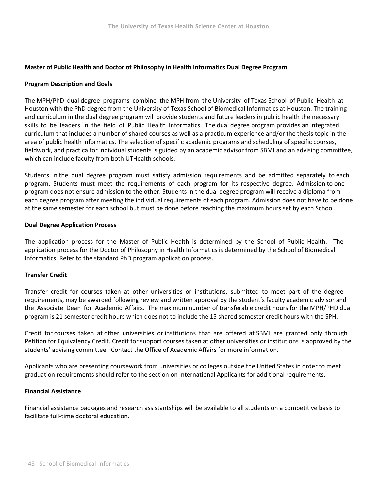## **Master of Public Health and Doctor of Philosophy in Health Informatics Dual Degree Program**

## **Program Description and Goals**

The MPH/PhD dual degree programs combine the MPH from the University of Texas School of Public Health at Houston with the PhD degree from the University of Texas School of Biomedical Informatics at Houston. The training and curriculum in the dual degree program will provide students and future leaders in public health the necessary skills to be leaders in the field of Public Health Informatics. The dual degree program provides an integrated curriculum that includes a number of shared courses as well as a practicum experience and/or the thesis topic in the area of public health informatics. The selection of specific academic programs and scheduling of specific courses, fieldwork, and practica for individual students is guided by an academic advisor from SBMI and an advising committee, which can include faculty from both UTHealth schools.

Students in the dual degree program must satisfy admission requirements and be admitted separately to each program. Students must meet the requirements of each program for its respective degree. Admission to one program does not ensure admission to the other. Students in the dual degree program will receive a diploma from each degree program after meeting the individual requirements of each program. Admission does not have to be done at the same semester for each school but must be done before reaching the maximum hours set by each School.

## **Dual Degree Application Process**

The application process for the Master of Public Health is determined by the School of Public Health. The application process for the Doctor of Philosophy in Health Informatics is determined by the School of Biomedical Informatics. Refer to the standard PhD program application process.

## **Transfer Credit**

Transfer credit for courses taken at other universities or institutions, submitted to meet part of the degree requirements, may be awarded following review and written approval by the student's faculty academic advisor and the Associate Dean for Academic Affairs. The maximum number of transferable credit hours for the MPH/PHD dual program is 21 semester credit hours which does not to include the 15 shared semester credit hours with the SPH.

Credit for courses taken at other universities or institutions that are offered at SBMI are granted only through Petition for Equivalency Credit. Credit for support courses taken at other universities or institutions is approved by the students' advising committee. Contact the Office of Academic Affairs for more information.

Applicants who are presenting coursework from universities or colleges outside the United States in order to meet graduation requirements should refer to the section on International Applicants for additional requirements.

## **Financial Assistance**

Financial assistance packages and research assistantships will be available to all students on a competitive basis to facilitate full-time doctoral education.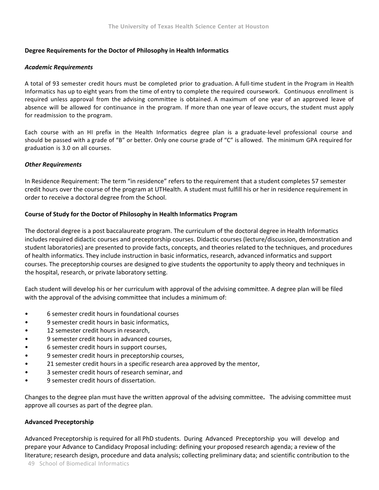## **Degree Requirements for the Doctor of Philosophy in Health Informatics**

## *Academic Requirements*

A total of 93 semester credit hours must be completed prior to graduation. A full-time student in the Program in Health Informatics has up to eight years from the time of entry to complete the required coursework. Continuous enrollment is required unless approval from the advising committee is obtained. A maximum of one year of an approved leave of absence will be allowed for continuance in the program. If more than one year of leave occurs, the student must apply for readmission to the program.

Each course with an HI prefix in the Health Informatics degree plan is a graduate-level professional course and should be passed with a grade of "B" or better. Only one course grade of "C" is allowed. The minimum GPA required for graduation is 3.0 on all courses.

## *Other Requirements*

In Residence Requirement: The term "in residence" refers to the requirement that a student completes 57 semester credit hours over the course of the program at UTHealth. A student must fulfill his or her in residence requirement in order to receive a doctoral degree from the School.

## **Course of Study for the Doctor of Philosophy in Health Informatics Program**

The doctoral degree is a post baccalaureate program. The curriculum of the doctoral degree in Health Informatics includes required didactic courses and preceptorship courses. Didactic courses (lecture/discussion, demonstration and student laboratories) are presented to provide facts, concepts, and theories related to the techniques, and procedures of health informatics. They include instruction in basic informatics, research, advanced informatics and support courses. The preceptorship courses are designed to give students the opportunity to apply theory and techniques in the hospital, research, or private laboratory setting.

Each student will develop his or her curriculum with approval of the advising committee. A degree plan will be filed with the approval of the advising committee that includes a minimum of:

- 6 semester credit hours in foundational courses
- 9 semester credit hours in basic informatics.
- 12 semester credit hours in research,
- 9 semester credit hours in advanced courses,
- 6 semester credit hours in support courses,
- 9 semester credit hours in preceptorship courses,
- 21 semester credit hours in a specific research area approved by the mentor,
- 3 semester credit hours of research seminar, and
- 9 semester credit hours of dissertation.

Changes to the degree plan must have the written approval of the advising committee**.** The advising committee must approve all courses as part of the degree plan.

## **Advanced Preceptorship**

Advanced Preceptorship is required for all PhD students. During Advanced Preceptorship you will develop and prepare your Advance to Candidacy Proposal including: defining your proposed research agenda; a review of the literature; research design, procedure and data analysis; collecting preliminary data; and scientific contribution to the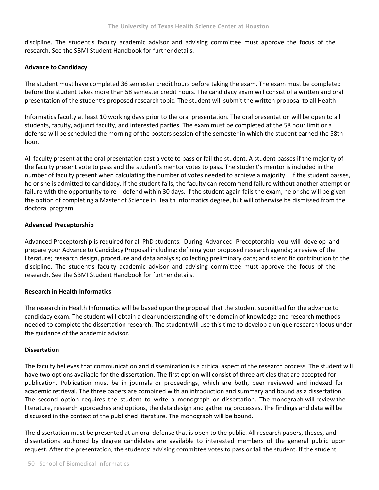discipline. The student's faculty academic advisor and advising committee must approve the focus of the research. See the SBMI Student Handbook for further details.

## **Advance to Candidacy**

The student must have completed 36 semester credit hours before taking the exam. The exam must be completed before the student takes more than 58 semester credit hours. The candidacy exam will consist of a written and oral presentation of the student's proposed research topic. The student will submit the written proposal to all Health

Informatics faculty at least 10 working days prior to the oral presentation. The oral presentation will be open to all students, faculty, adjunct faculty, and interested parties. The exam must be completed at the 58 hour limit or a defense will be scheduled the morning of the posters session of the semester in which the student earned the 58th hour.

All faculty present at the oral presentation cast a vote to pass or fail the student. A student passes if the majority of the faculty present vote to pass and the student's mentor votes to pass. The student's mentor is included in the number of faculty present when calculating the number of votes needed to achieve a majority. If the student passes, he or she is admitted to candidacy. If the student fails, the faculty can recommend failure without another attempt or failure with the opportunity to re---defend within 30 days. If the student again fails the exam, he or she will be given the option of completing a Master of Science in Health Informatics degree, but will otherwise be dismissed from the doctoral program.

## **Advanced Preceptorship**

Advanced Preceptorship is required for all PhD students. During Advanced Preceptorship you will develop and prepare your Advance to Candidacy Proposal including: defining your proposed research agenda; a review of the literature; research design, procedure and data analysis; collecting preliminary data; and scientific contribution to the discipline. The student's faculty academic advisor and advising committee must approve the focus of the research. See the SBMI Student Handbook for further details.

## **Research in Health Informatics**

The research in Health Informatics will be based upon the proposal that the student submitted for the advance to candidacy exam. The student will obtain a clear understanding of the domain of knowledge and research methods needed to complete the dissertation research. The student will use this time to develop a unique research focus under the guidance of the academic advisor.

## **Dissertation**

The faculty believes that communication and dissemination is a critical aspect of the research process. The student will have two options available for the dissertation. The first option will consist of three articles that are accepted for publication. Publication must be in journals or proceedings, which are both, peer reviewed and indexed for academic retrieval. The three papers are combined with an introduction and summary and bound as a dissertation. The second option requires the student to write a monograph or dissertation. The monograph will review the literature, research approaches and options, the data design and gathering processes. The findings and data will be discussed in the context of the published literature. The monograph will be bound.

The dissertation must be presented at an oral defense that is open to the public. All research papers, theses, and dissertations authored by degree candidates are available to interested members of the general public upon request. After the presentation, the students' advising committee votes to pass or fail the student. If the student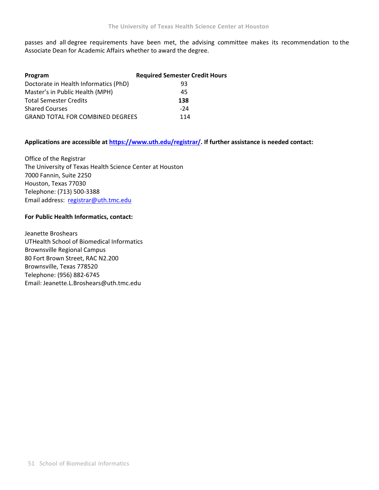passes and all degree requirements have been met, the advising committee makes its recommendation to the Associate Dean for Academic Affairs whether to award the degree.

| Program                                 | <b>Required Semester Credit Hours</b> |
|-----------------------------------------|---------------------------------------|
| Doctorate in Health Informatics (PhD)   | 93                                    |
| Master's in Public Health (MPH)         | 45                                    |
| <b>Total Semester Credits</b>           | 138                                   |
| <b>Shared Courses</b>                   | -24                                   |
| <b>GRAND TOTAL FOR COMBINED DEGREES</b> | 114                                   |

## **Applications are accessible at https://www.uth.edu/registrar/. If further assistance is needed contact:**

Office of the Registrar The University of Texas Health Science Center at Houston 7000 Fannin, Suite 2250 Houston, Texas 77030 Telephone: (713) 500‐3388 Email address: registrar@uth.tmc.edu

## **For Public Health Informatics, contact:**

Jeanette Broshears UTHealth School of Biomedical Informatics Brownsville Regional Campus 80 Fort Brown Street, RAC N2.200 Brownsville, Texas 778520 Telephone: (956) 882‐6745 Email: Jeanette.L.Broshears@uth.tmc.edu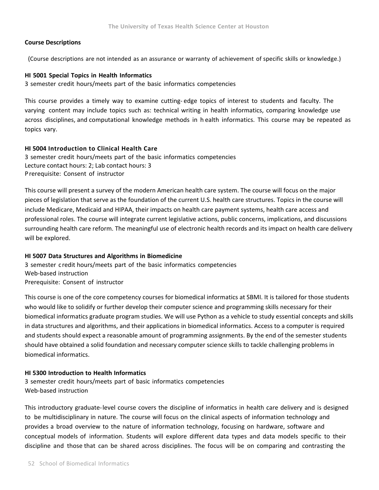## **Course Descriptions**

(Course descriptions are not intended as an assurance or warranty of achievement of specific skills or knowledge.)

## **HI 5001 Special Topics in Health Informatics**

3 semester credit hours/meets part of the basic informatics competencies

This course provides a timely way to examine cutting‐ edge topics of interest to students and faculty. The varying content may include topics such as: technical writing in health informatics, comparing knowledge use across disciplines, and computational knowledge methods in h ealth informatics. This course may be repeated as topics vary.

## **HI 5004 Introduction to Clinical Health Care**

3 semester credit hours/meets part of the basic informatics competencies Lecture contact hours: 2; Lab contact hours: 3 Prerequisite: Consent of instructor

This course will present a survey of the modern American health care system. The course will focus on the major pieces of legislation that serve as the foundation of the current U.S. health care structures. Topics in the course will include Medicare, Medicaid and HIPAA, their impacts on health care payment systems, health care access and professional roles. The course will integrate current legislative actions, public concerns, implications, and discussions surrounding health care reform. The meaningful use of electronic health records and its impact on health care delivery will be explored.

## **HI 5007 Data Structures and Algorithms in Biomedicine**

3 semester c redit hours/meets part of the basic informatics competencies Web‐based instruction Prerequisite: Consent of instructor

This course is one of the core competency courses for biomedical informatics at SBMI. It is tailored for those students who would like to solidify or further develop their computer science and programming skills necessary for their biomedical informatics graduate program studies. We will use Python as a vehicle to study essential concepts and skills in data structures and algorithms, and their applications in biomedical informatics. Access to a computer is required and students should expect a reasonable amount of programming assignments. By the end of the semester students should have obtained a solid foundation and necessary computer science skills to tackle challenging problems in biomedical informatics.

## **HI 5300 Introduction to Health Informatics**

3 semester credit hours/meets part of basic informatics competencies Web‐based instruction

This introductory graduate‐level course covers the discipline of informatics in health care delivery and is designed to be multidisciplinary in nature. The course will focus on the clinical aspects of information technology and provides a broad overview to the nature of information technology, focusing on hardware, software and conceptual models of information. Students will explore different data types and data models specific to their discipline and those that can be shared across disciplines. The focus will be on comparing and contrasting the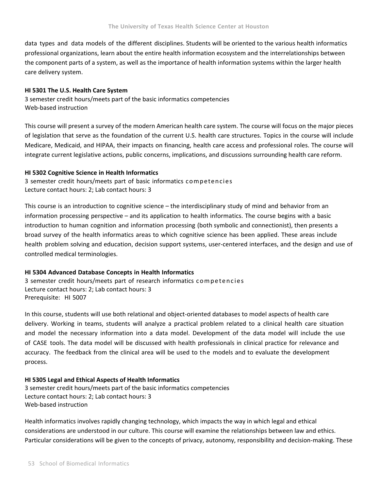data types and data models of the different disciplines. Students will be oriented to the various health informatics professional organizations, learn about the entire health information ecosystem and the interrelationships between the component parts of a system, as well as the importance of health information systems within the larger health care delivery system.

## **HI 5301 The U.S. Health Care System**

3 semester credit hours/meets part of the basic informatics competencies Web‐based instruction

This course will present a survey of the modern American health care system. The course will focus on the major pieces of legislation that serve as the foundation of the current U.S. health care structures. Topics in the course will include Medicare, Medicaid, and HIPAA, their impacts on financing, health care access and professional roles. The course will integrate current legislative actions, public concerns, implications, and discussions surrounding health care reform.

## **HI 5302 Cognitive Science in Health Informatics**

3 semester credit hours/meets part of basic informatics competencies Lecture contact hours: 2; Lab contact hours: 3

This course is an introduction to cognitive science – the interdisciplinary study of mind and behavior from an information processing perspective – and its application to health informatics. The course begins with a basic introduction to human cognition and information processing (both symbolic and connectionist), then presents a broad survey of the health informatics areas to which cognitive science has been applied. These areas include health problem solving and education, decision support systems, user-centered interfaces, and the design and use of controlled medical terminologies.

## **HI 5304 Advanced Database Concepts in Health Informatics**

3 semester credit hours/meets part of research informatics competencies Lecture contact hours: 2; Lab contact hours: 3 Prerequisite: HI 5007

In this course, students will use both relational and object-oriented databases to model aspects of health care delivery. Working in teams, students will analyze a practical problem related to a clinical health care situation and model the necessary information into a data model. Development of the data model will include the use of CASE tools. The data model will be discussed with health professionals in clinical practice for relevance and accuracy. The feedback from the clinical area will be used to the models and to evaluate the development process.

## **HI 5305 Legal and Ethical Aspects of Health Informatics**

3 semester credit hours/meets part of the basic informatics competencies Lecture contact hours: 2; Lab contact hours: 3 Web‐based instruction

Health informatics involves rapidly changing technology, which impacts the way in which legal and ethical considerations are understood in our culture. This course will examine the relationships between law and ethics. Particular considerations will be given to the concepts of privacy, autonomy, responsibility and decision‐making. These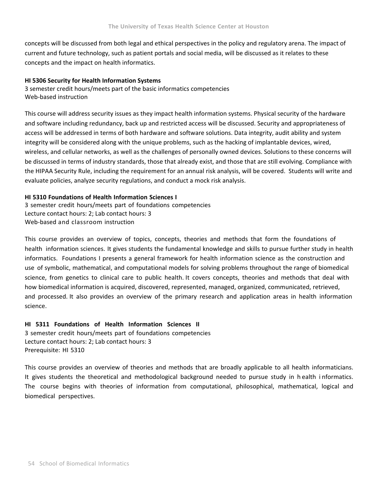concepts will be discussed from both legal and ethical perspectives in the policy and regulatory arena. The impact of current and future technology, such as patient portals and social media, will be discussed as it relates to these concepts and the impact on health informatics.

## **HI 5306 Security for Health Information Systems**

3 semester credit hours/meets part of the basic informatics competencies Web‐based instruction

This course will address security issues as they impact health information systems. Physical security of the hardware and software including redundancy, back up and restricted access will be discussed. Security and appropriateness of access will be addressed in terms of both hardware and software solutions. Data integrity, audit ability and system integrity will be considered along with the unique problems, such as the hacking of implantable devices, wired, wireless, and cellular networks, as well as the challenges of personally owned devices. Solutions to these concerns will be discussed in terms of industry standards, those that already exist, and those that are still evolving. Compliance with the HIPAA Security Rule, including the requirement for an annual risk analysis, will be covered. Students will write and evaluate policies, analyze security regulations, and conduct a mock risk analysis.

## **HI 5310 Foundations of Health Information Sciences I**

3 semester credit hours/meets part of foundations competencies Lecture contact hours: 2; Lab contact hours: 3 Web-based and classroom instruction

This course provides an overview of topics, concepts, theories and methods that form the foundations of health information sciences. It gives students the fundamental knowledge and skills to pursue further study in health informatics. Foundations I presents a general framework for health information science as the construction and use of symbolic, mathematical, and computational models for solving problems throughout the range of biomedical science, from genetics to clinical care to public health. It covers concepts, theories and methods that deal with how biomedical information is acquired, discovered, represented, managed, organized, communicated, retrieved, and processed. It also provides an overview of the primary research and application areas in health information science.

## **HI 5311 Foundations of Health Information Sciences II**

3 semester credit hours/meets part of foundations competencies Lecture contact hours: 2; Lab contact hours: 3 Prerequisite: HI 5310

This course provides an overview of theories and methods that are broadly applicable to all health informaticians. It gives students the theoretical and methodological background needed to pursue study in h ealth i nformatics. The course begins with theories of information from computational, philosophical, mathematical, logical and biomedical perspectives.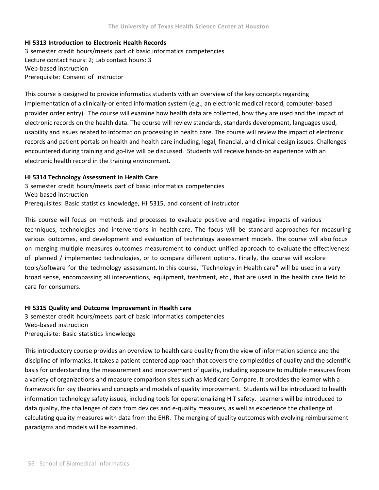## **HI 5313 Introduction to Electronic Health Records**

3 semester credit hours/meets part of basic informatics competencies Lecture contact hours: 2; Lab contact hours: 3 Web‐based instruction Prerequisite: Consent of instructor

This course is designed to provide informatics students with an overview of the key concepts regarding implementation of a clinically‐oriented information system (e.g., an electronic medical record, computer‐based provider order entry). The course will examine how health data are collected, how they are used and the impact of electronic records on the health data. The course will review standards, standards development, languages used, usability and issues related to information processing in health care. The course will review the impact of electronic records and patient portals on health and health care including, legal, financial, and clinical design issues. Challenges encountered during training and go‐live will be discussed. Students will receive hands‐on experience with an electronic health record in the training environment.

### **HI 5314 Technology Assessment in Health Care**

3 semester credit hours/meets part of basic informatics competencies Web‐based instruction Prerequisites: Basic statistics knowledge, HI 5315, and consent of instructor

This course will focus on methods and processes to evaluate positive and negative impacts of various techniques, technologies and interventions in health care. The focus will be standard approaches for measuring various outcomes, and development and evaluation of technology assessment models. The course will also focus on merging multiple measures outcomes measurement to conduct unified approach to evaluate the effectiveness of planned / implemented technologies, or to compare different options. Finally, the course will explore tools/software for the technology assessment. In this course, "Technology in Health care" will be used in a very broad sense, encompassing all interventions, equipment, treatment, etc., that are used in the health care field to care for consumers.

# **HI 5315 Quality and Outcome Improvement in Health care**  3 semester credit hours/meets part of basic informatics competencies

Web‐based instruction Prerequisite: Basic statistics knowledge

This introductory course provides an overview to health care quality from the view of information science and the discipline of informatics. It takes a patient‐centered approach that covers the complexities of quality and the scientific basis for understanding the measurement and improvement of quality, including exposure to multiple measures from a variety of organizations and measure comparison sites such as Medicare Compare. It provides the learner with a framework for key theories and concepts and models of quality improvement. Students will be introduced to health information technology safety issues, including tools for operationalizing HIT safety. Learners will be introduced to data quality, the challenges of data from devices and e‐quality measures, as well as experience the challenge of calculating quality measures with data from the EHR. The merging of quality outcomes with evolving reimbursement paradigms and models will be examined.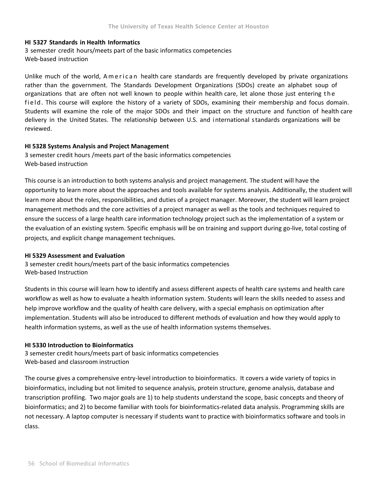## **HI 5327 Standards in Health Informatics**

3 semester credit hours/meets part of the basic informatics competencies Web‐based instruction

Unlike much of the world, American health care standards are frequently developed by private organizations rather than the government. The Standards Development Organizations (SDOs) create an alphabet soup of organizations that are often not well known to people within health care, let alone those just entering the field. This course will explore the history of a variety of SDOs, examining their membership and focus domain. Students will examine the role of the major SDOs and their impact on the structure and function of health care delivery in the United States. The relationship between U.S. and i nternational s tandards organizations will be reviewed.

## **HI 5328 Systems Analysis and Project Management**

3 semester credit hours /meets part of the basic informatics competencies Web‐based instruction

This course is an introduction to both systems analysis and project management. The student will have the opportunity to learn more about the approaches and tools available for systems analysis. Additionally, the student will learn more about the roles, responsibilities, and duties of a project manager. Moreover, the student will learn project management methods and the core activities of a project manager as well as the tools and techniques required to ensure the success of a large health care information technology project such as the implementation of a system or the evaluation of an existing system. Specific emphasis will be on training and support during go‐live, total costing of projects, and explicit change management techniques.

### **HI 5329 Assessment and Evaluation**

3 semester credit hours/meets part of the basic informatics competencies Web‐based Instruction

Students in this course will learn how to identify and assess different aspects of health care systems and health care workflow as well as how to evaluate a health information system. Students will learn the skills needed to assess and help improve workflow and the quality of health care delivery, with a special emphasis on optimization after implementation. Students will also be introduced to different methods of evaluation and how they would apply to health information systems, as well as the use of health information systems themselves.

## **HI 5330 Introduction to Bioinformatics**

3 semester credit hours/meets part of basic informatics competencies Web-based and classroom instruction

The course gives a comprehensive entry-level introduction to bioinformatics. It covers a wide variety of topics in bioinformatics, including but not limited to sequence analysis, protein structure, genome analysis, database and transcription profiling. Two major goals are 1) to help students understand the scope, basic concepts and theory of bioinformatics; and 2) to become familiar with tools for bioinformatics-related data analysis. Programming skills are not necessary. A laptop computer is necessary if students want to practice with bioinformatics software and tools in class.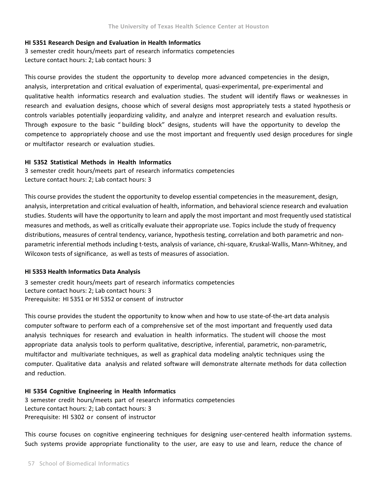## **HI 5351 Research Design and Evaluation in Health Informatics**

3 semester credit hours/meets part of research informatics competencies Lecture contact hours: 2; Lab contact hours: 3

This course provides the student the opportunity to develop more advanced competencies in the design, analysis, interpretation and critical evaluation of experimental, quasi‐experimental, pre‐experimental and qualitative health informatics research and evaluation studies. The student will identify flaws or weaknesses in research and evaluation designs, choose which of several designs most appropriately tests a stated hypothesis or controls variables potentially jeopardizing validity, and analyze and interpret research and evaluation results. Through exposure to the basic " building block" designs, students will have the opportunity to develop the competence to appropriately choose and use the most important and frequently used design procedures for single or multifactor research or evaluation studies.

## **HI 5352 Statistical Methods in Health Informatics**

3 semester credit hours/meets part of research informatics competencies Lecture contact hours: 2; Lab contact hours: 3

This course provides the student the opportunity to develop essential competencies in the measurement, design, analysis, interpretation and critical evaluation of health, information, and behavioral science research and evaluation studies. Students will have the opportunity to learn and apply the most important and most frequently used statistical measures and methods, as well as critically evaluate their appropriate use. Topics include the study of frequency distributions, measures of central tendency, variance, hypothesis testing, correlation and both parametric and non‐ parametric inferential methods including t-tests, analysis of variance, chi-square, Kruskal-Wallis, Mann-Whitney, and Wilcoxon tests of significance, as well as tests of measures of association.

## **HI 5353 Health Informatics Data Analysis**

3 semester credit hours/meets part of research informatics competencies Lecture contact hours: 2; Lab contact hours: 3 Prerequisite: HI 5351 or HI 5352 or consent of instructor

This course provides the student the opportunity to know when and how to use state‐of‐the‐art data analysis computer software to perform each of a comprehensive set of the most important and frequently used data analysis techniques for research and evaluation in health informatics. The student will choose the most appropriate data analysis tools to perform qualitative, descriptive, inferential, parametric, non‐parametric, multifactor and multivariate techniques, as well as graphical data modeling analytic techniques using the computer. Qualitative data analysis and related software will demonstrate alternate methods for data collection and reduction.

## **HI 5354 Cognitive Engineering in Health Informatics**

3 semester credit hours/meets part of research informatics competencies Lecture contact hours: 2; Lab contact hours: 3 Prerequisite: HI 5302 or consent of instructor

This course focuses on cognitive engineering techniques for designing user‐centered health information systems. Such systems provide appropriate functionality to the user, are easy to use and learn, reduce the chance of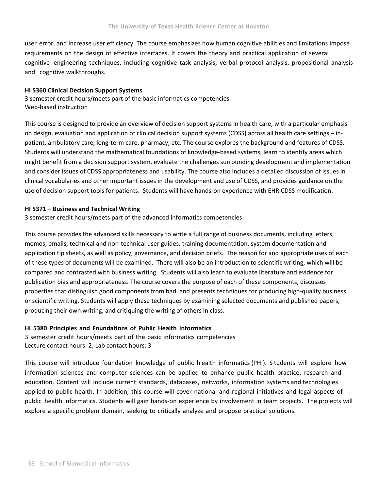user error, and increase user efficiency. The course emphasizes how human cognitive abilities and limitations impose requirements on the design of effective interfaces. It covers the theory and practical application of several cognitive engineering techniques, including cognitive task analysis, verbal protocol analysis, propositional analysis and cognitive walkthroughs.

## **HI 5360 Clinical Decision Support Systems**

3 semester credit hours/meets part of the basic informatics competencies Web‐based instruction

This course is designed to provide an overview of decision support systems in health care, with a particular emphasis on design, evaluation and application of clinical decision support systems (CDSS) across all health care settings – in‐ patient, ambulatory care, long-term care, pharmacy, etc. The course explores the background and features of CDSS. Students will understand the mathematical foundations of knowledge‐based systems, learn to identify areas which might benefit from a decision support system, evaluate the challenges surrounding development and implementation and consider issues of CDSS appropriateness and usability. The course also includes a detailed discussion of issues in clinical vocabularies and other important issues in the development and use of CDSS, and provides guidance on the use of decision support tools for patients. Students will have hands‐on experience with EHR CDSS modification.

## **HI 5371 – Business and Technical Writing**

3 semester credit hours/meets part of the advanced informatics competencies

This course provides the advanced skills necessary to write a full range of business documents, including letters, memos, emails, technical and non‐technical user guides, training documentation, system documentation and application tip sheets, as well as policy, governance, and decision briefs. The reason for and appropriate uses of each of these types of documents will be examined. There will also be an introduction to scientific writing, which will be compared and contrasted with business writing. Students will also learn to evaluate literature and evidence for publication bias and appropriateness. The course covers the purpose of each of these components, discusses properties that distinguish good components from bad, and presents techniques for producing high‐quality business or scientific writing. Students will apply these techniques by examining selected documents and published papers, producing their own writing, and critiquing the writing of others in class.

## **HI 5380 Principles and Foundations of Public Health Informatics**

3 semester credit hours/meets part of the basic informatics competencies Lecture contact hours: 2; Lab contact hours: 3

This course will introduce foundation knowledge of public h ealth informatics (PHI). S tudents will explore how information sciences and computer sciences can be applied to enhance public health practice, research and education. Content will include current standards, databases, networks, information systems and technologies applied to public health. In addition, this course will cover national and regional initiatives and legal aspects of public health informatics. Students will gain hands-on experience by involvement in team projects. The projects will explore a specific problem domain, seeking to critically analyze and propose practical solutions.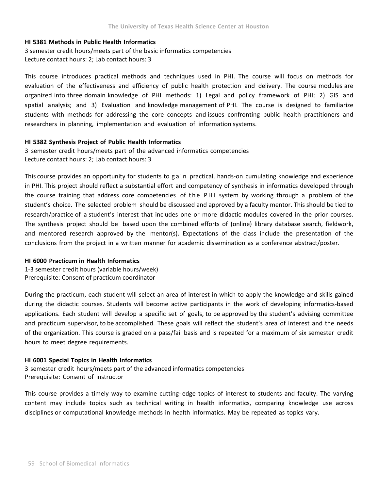## **HI 5381 Methods in Public Health Informatics**

3 semester credit hours/meets part of the basic informatics competencies Lecture contact hours: 2; Lab contact hours: 3

This course introduces practical methods and techniques used in PHI. The course will focus on methods for evaluation of the effectiveness and efficiency of public health protection and delivery. The course modules are organized into three domain knowledge of PHI methods: 1) Legal and policy framework of PHI; 2) GIS and spatial analysis; and 3) Evaluation and knowledge management of PHI. The course is designed to familiarize students with methods for addressing the core concepts and issues confronting public health practitioners and researchers in planning, implementation and evaluation of information systems.

## **HI 5382 Synthesis Project of Public Health Informatics**

3 semester credit hours/meets part of the advanced informatics competencies Lecture contact hours: 2; Lab contact hours: 3

This course provides an opportunity for students to gain practical, hands‐on cumulating knowledge and experience in PHI. This project should reflect a substantial effort and competency of synthesis in informatics developed through the course training that address core competencies of the PHI system by working through a problem of the student's choice. The selected problem should be discussed and approved by a faculty mentor. This should be tied to research/practice of a student's interest that includes one or more didactic modules covered in the prior courses. The synthesis project should be based upon the combined efforts of (online) library database search, fieldwork, and mentored research approved by the mentor(s). Expectations of the class include the presentation of the conclusions from the project in a written manner for academic dissemination as a conference abstract/poster.

### **HI 6000 Practicum in Health Informatics**

1‐3 semester credit hours (variable hours/week) Prerequisite: Consent of practicum coordinator

During the practicum, each student will select an area of interest in which to apply the knowledge and skills gained during the didactic courses. Students will become active participants in the work of developing informatics‐based applications. Each student will develop a specific set of goals, to be approved by the student's advising committee and practicum supervisor, to be accomplished. These goals will reflect the student's area of interest and the needs of the organization. This course is graded on a pass/fail basis and is repeated for a maximum of six semester credit hours to meet degree requirements.

## **HI 6001 Special Topics in Health Informatics**

3 semester credit hours/meets part of the advanced informatics competencies Prerequisite: Consent of instructor

This course provides a timely way to examine cutting-edge topics of interest to students and faculty. The varying content may include topics such as technical writing in health informatics, comparing knowledge use across disciplines or computational knowledge methods in health informatics. May be repeated as topics vary.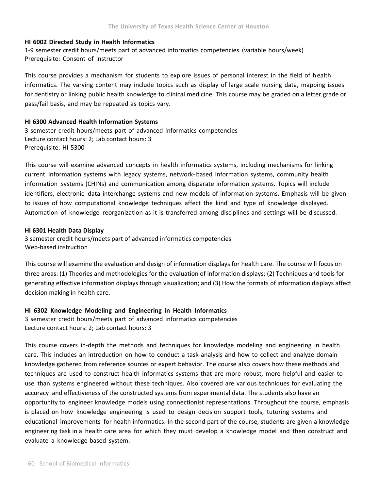## **HI 6002 Directed Study in Health Informatics**

1‐9 semester credit hours/meets part of advanced informatics competencies (variable hours/week) Prerequisite: Consent of instructor

This course provides a mechanism for students to explore issues of personal interest in the field of h ealth informatics. The varying content may include topics such as display of large scale nursing data, mapping issues for dentistry or linking public health knowledge to clinical medicine. This course may be graded on a letter grade or pass/fail basis, and may be repeated as topics vary.

## **HI 6300 Advanced Health Information Systems**

3 semester credit hours/meets part of advanced informatics competencies Lecture contact hours: 2; Lab contact hours: 3 Prerequisite: HI 5300

This course will examine advanced concepts in health informatics systems, including mechanisms for linking current information systems with legacy systems, network‐ based information systems, community health information systems (CHINs) and communication among disparate information systems. Topics will include identifiers, electronic data interchange systems and new models of information systems. Emphasis will be given to issues of how computational knowledge techniques affect the kind and type of knowledge displayed. Automation of knowledge reorganization as it is transferred among disciplines and settings will be discussed.

### **HI 6301 Health Data Display**

3 semester credit hours/meets part of advanced informatics competencies Web‐based instruction

This course will examine the evaluation and design of information displays for health care. The course will focus on three areas: (1) Theories and methodologies for the evaluation of information displays; (2) Techniques and tools for generating effective information displays through visualization; and (3) How the formats of information displays affect decision making in health care.

## **HI 6302 Knowledge Modeling and Engineering in Health Informatics**

3 semester credit hours/meets part of advanced informatics competencies Lecture contact hours: 2; Lab contact hours: 3

This course covers in‐depth the methods and techniques for knowledge modeling and engineering in health care. This includes an introduction on how to conduct a task analysis and how to collect and analyze domain knowledge gathered from reference sources or expert behavior. The course also covers how these methods and techniques are used to construct health informatics systems that are more robust, more helpful and easier to use than systems engineered without these techniques. Also covered are various techniques for evaluating the accuracy and effectiveness of the constructed systems from experimental data. The students also have an opportunity to engineer knowledge models using connectionist representations. Throughout the course, emphasis is placed on how knowledge engineering is used to design decision support tools, tutoring systems and educational improvements for health informatics. In the second part of the course, students are given a knowledge engineering task in a health care area for which they must develop a knowledge model and then construct and evaluate a knowledge‐based system.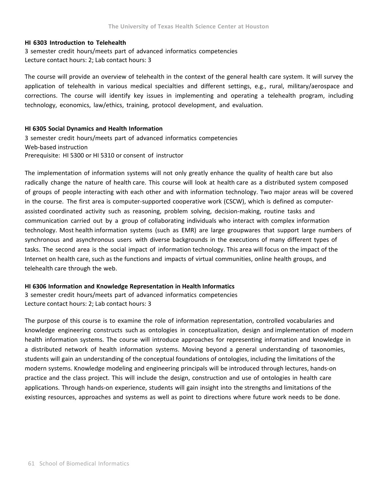## **HI 6303 Introduction to Telehealth**

3 semester credit hours/meets part of advanced informatics competencies Lecture contact hours: 2; Lab contact hours: 3

The course will provide an overview of telehealth in the context of the general health care system. It will survey the application of telehealth in various medical specialties and different settings, e.g., rural, military/aerospace and corrections. The course will identify key issues in implementing and operating a telehealth program, including technology, economics, law/ethics, training, protocol development, and evaluation.

## **HI 6305 Social Dynamics and Health Information**

3 semester credit hours/meets part of advanced informatics competencies Web‐based instruction Prerequisite: HI 5300 or HI 5310 or consent of instructor

The implementation of information systems will not only greatly enhance the quality of health care but also radically change the nature of health care. This course will look at health care as a distributed system composed of groups of people interacting with each other and with information technology. Two major areas will be covered in the course. The first area is computer-supported cooperative work (CSCW), which is defined as computerassisted coordinated activity such as reasoning, problem solving, decision‐making, routine tasks and communication carried out by a group of collaborating individuals who interact with complex information technology. Most health information systems (such as EMR) are large groupwares that support large numbers of synchronous and asynchronous users with diverse backgrounds in the executions of many different types of tasks. The second area is the social impact of information technology. This area will focus on the impact of the Internet on health care, such as the functions and impacts of virtual communities, online health groups, and telehealth care through the web.

### **HI 6306 Information and Knowledge Representation in Health Informatics**

3 semester credit hours/meets part of advanced informatics competencies Lecture contact hours: 2; Lab contact hours: 3

The purpose of this course is to examine the role of information representation, controlled vocabularies and knowledge engineering constructs such as ontologies in conceptualization, design and implementation of modern health information systems. The course will introduce approaches for representing information and knowledge in a distributed network of health information systems. Moving beyond a general understanding of taxonomies, students will gain an understanding of the conceptual foundations of ontologies, including the limitations of the modern systems. Knowledge modeling and engineering principals will be introduced through lectures, hands‐on practice and the class project. This will include the design, construction and use of ontologies in health care applications. Through hands‐on experience, students will gain insight into the strengths and limitations of the existing resources, approaches and systems as well as point to directions where future work needs to be done.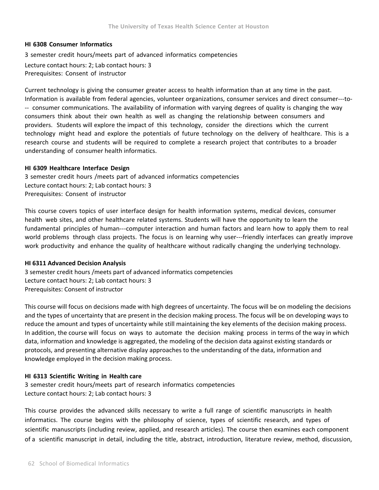## **HI 6308 Consumer Informatics**

3 semester credit hours/meets part of advanced informatics competencies Lecture contact hours: 2; Lab contact hours: 3 Prerequisites: Consent of instructor

Current technology is giving the consumer greater access to health information than at any time in the past. Information is available from federal agencies, volunteer organizations, consumer services and direct consumer‐‐‐to‐ ‐‐ consumer communications. The availability of information with varying degrees of quality is changing the way consumers think about their own health as well as changing the relationship between consumers and providers. Students will explore the impact of this technology, consider the directions which the current technology might head and explore the potentials of future technology on the delivery of healthcare. This is a research course and students will be required to complete a research project that contributes to a broader understanding of consumer health informatics.

### **HI 6309 Healthcare Interface Design**

3 semester credit hours /meets part of advanced informatics competencies Lecture contact hours: 2; Lab contact hours: 3 Prerequisites: Consent of instructor

This course covers topics of user interface design for health information systems, medical devices, consumer health web sites, and other healthcare related systems. Students will have the opportunity to learn the fundamental principles of human‐‐‐computer interaction and human factors and learn how to apply them to real world problems through class projects. The focus is on learning why user---friendly interfaces can greatly improve work productivity and enhance the quality of healthcare without radically changing the underlying technology.

### **HI 6311 Advanced Decision Analysis**

3 semester credit hours /meets part of advanced informatics competencies Lecture contact hours: 2; Lab contact hours: 3 Prerequisites: Consent of instructor

This course will focus on decisions made with high degrees of uncertainty. The focus will be on modeling the decisions and the types of uncertainty that are present in the decision making process. The focus will be on developing ways to reduce the amount and types of uncertainty while still maintaining the key elements of the decision making process. In addition, the course will focus on ways to automate the decision making process in terms of the way in which data, information and knowledge is aggregated, the modeling of the decision data against existing standards or protocols, and presenting alternative display approaches to the understanding of the data, information and knowledge employed in the decision making process.

## **HI 6313 Scientific Writing in Health care**

3 semester credit hours/meets part of research informatics competencies Lecture contact hours: 2; Lab contact hours: 3

This course provides the advanced skills necessary to write a full range of scientific manuscripts in health informatics. The course begins with the philosophy of science, types of scientific research, and types of scientific manuscripts (including review, applied, and research articles). The course then examines each component of a scientific manuscript in detail, including the title, abstract, introduction, literature review, method, discussion,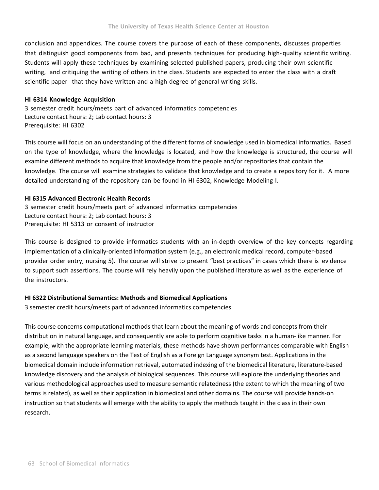conclusion and appendices. The course covers the purpose of each of these components, discusses properties that distinguish good components from bad, and presents techniques for producing high-quality scientific writing. Students will apply these techniques by examining selected published papers, producing their own scientific writing, and critiquing the writing of others in the class. Students are expected to enter the class with a draft scientific paper that they have written and a high degree of general writing skills.

## **HI 6314 Knowledge Acquisition**

3 semester credit hours/meets part of advanced informatics competencies Lecture contact hours: 2; Lab contact hours: 3 Prerequisite: HI 6302

This course will focus on an understanding of the different forms of knowledge used in biomedical informatics. Based on the type of knowledge, where the knowledge is located, and how the knowledge is structured, the course will examine different methods to acquire that knowledge from the people and/or repositories that contain the knowledge. The course will examine strategies to validate that knowledge and to create a repository for it. A more detailed understanding of the repository can be found in HI 6302, Knowledge Modeling I.

## **HI 6315 Advanced Electronic Health Records**

3 semester credit hours/meets part of advanced informatics competencies Lecture contact hours: 2; Lab contact hours: 3 Prerequisite: HI 5313 or consent of instructor

This course is designed to provide informatics students with an in‐depth overview of the key concepts regarding implementation of a clinically‐oriented information system (e.g., an electronic medical record, computer‐based provider order entry, nursing 5). The course will strive to present "best practices" in cases which there is evidence to support such assertions. The course will rely heavily upon the published literature as well as the experience of the instructors.

## **HI 6322 Distributional Semantics: Methods and Biomedical Applications**

3 semester credit hours/meets part of advanced informatics competencies

This course concerns computational methods that learn about the meaning of words and concepts from their distribution in natural language, and consequently are able to perform cognitive tasks in a human‐like manner. For example, with the appropriate learning materials, these methods have shown performances comparable with English as a second language speakers on the Test of English as a Foreign Language synonym test. Applications in the biomedical domain include information retrieval, automated indexing of the biomedical literature, literature‐based knowledge discovery and the analysis of biological sequences. This course will explore the underlying theories and various methodological approaches used to measure semantic relatedness (the extent to which the meaning of two terms is related), as well as their application in biomedical and other domains. The course will provide hands‐on instruction so that students will emerge with the ability to apply the methods taught in the class in their own research.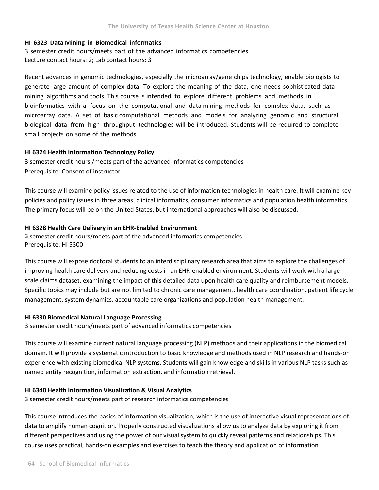## **HI 6323 Data Mining in Biomedical informatics**

3 semester credit hours/meets part of the advanced informatics competencies Lecture contact hours: 2; Lab contact hours: 3

Recent advances in genomic technologies, especially the microarray/gene chips technology, enable biologists to generate large amount of complex data. To explore the meaning of the data, one needs sophisticated data mining algorithms and tools. This course is intended to explore different problems and methods in bioinformatics with a focus on the computational and data mining methods for complex data, such as microarray data. A set of basic computational methods and models for analyzing genomic and structural biological data from high throughput technologies will be introduced. Students will be required to complete small projects on some of the methods.

## **HI 6324 Health Information Technology Policy**

3 semester credit hours /meets part of the advanced informatics competencies Prerequisite: Consent of instructor

This course will examine policy issues related to the use of information technologies in health care. It will examine key policies and policy issues in three areas: clinical informatics, consumer informatics and population health informatics. The primary focus will be on the United States, but international approaches will also be discussed.

## **HI 6328 Health Care Delivery in an EHR‐Enabled Environment**

3 semester credit hours/meets part of the advanced informatics competencies Prerequisite: HI 5300

This course will expose doctoral students to an interdisciplinary research area that aims to explore the challenges of improving health care delivery and reducing costs in an EHR-enabled environment. Students will work with a largescale claims dataset, examining the impact of this detailed data upon health care quality and reimbursement models. Specific topics may include but are not limited to chronic care management, health care coordination, patient life cycle management, system dynamics, accountable care organizations and population health management.

## **HI 6330 Biomedical Natural Language Processing**

3 semester credit hours/meets part of advanced informatics competencies

This course will examine current natural language processing (NLP) methods and their applications in the biomedical domain. It will provide a systematic introduction to basic knowledge and methods used in NLP research and hands‐on experience with existing biomedical NLP systems. Students will gain knowledge and skills in various NLP tasks such as named entity recognition, information extraction, and information retrieval.

### **HI 6340 Health Information Visualization & Visual Analytics**

3 semester credit hours/meets part of research informatics competencies

This course introduces the basics of information visualization, which is the use of interactive visual representations of data to amplify human cognition. Properly constructed visualizations allow us to analyze data by exploring it from different perspectives and using the power of our visual system to quickly reveal patterns and relationships. This course uses practical, hands‐on examples and exercises to teach the theory and application of information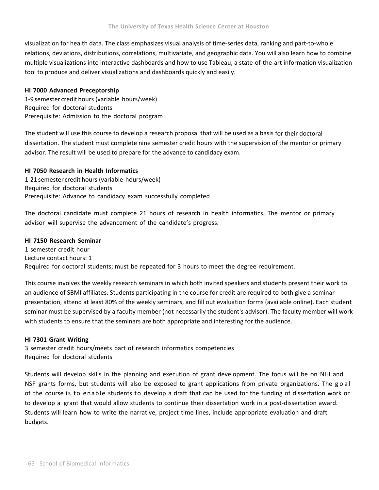visualization for health data. The class emphasizes visual analysis of time‐series data, ranking and part‐to‐whole relations, deviations, distributions, correlations, multivariate, and geographic data. You will also learn how to combine multiple visualizations into interactive dashboards and how to use Tableau, a state‐of‐the‐art information visualization tool to produce and deliver visualizations and dashboards quickly and easily.

## **HI 7000 Advanced Preceptorship**

1‐9 semester credit hours (variable hours/week) Required for doctoral students Prerequisite: Admission to the doctoral program

The student will use this course to develop a research proposal that will be used as a basis for their doctoral dissertation. The student must complete nine semester credit hours with the supervision of the mentor or primary advisor. The result will be used to prepare for the advance to candidacy exam.

## **HI 7050 Research in Health Informatics**

1‐21 semester credit hours (variable hours/week) Required for doctoral students Prerequisite: Advance to candidacy exam successfully completed

The doctoral candidate must complete 21 hours of research in health informatics. The mentor or primary advisor will supervise the advancement of the candidate's progress.

## **HI 7150 Research Seminar**

1 semester credit hour Lecture contact hours: 1 Required for doctoral students; must be repeated for 3 hours to meet the degree requirement.

This course involves the weekly research seminars in which both invited speakers and students present their work to an audience of SBMI affiliates. Students participating in the course for credit are required to both give a seminar presentation, attend at least 80% of the weekly seminars, and fill out evaluation forms (available online). Each student seminar must be supervised by a faculty member (not necessarily the student's advisor). The faculty member will work with students to ensure that the seminars are both appropriate and interesting for the audience.

## **HI 7301 Grant Writing**

3 semester credit hours/meets part of research informatics competencies Required for doctoral students

Students will develop skills in the planning and execution of grant development. The focus will be on NIH and NSF grants forms, but students will also be exposed to grant applications from private organizations. The goal of the course is to enable students to develop a draft that can be used for the funding of dissertation work or to develop a grant that would allow students to continue their dissertation work in a post‐dissertation award. Students will learn how to write the narrative, project time lines, include appropriate evaluation and draft budgets.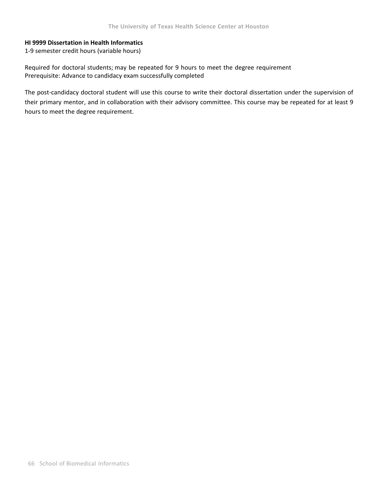## **HI 9999 Dissertation in Health Informatics**

1‐9 semester credit hours (variable hours)

Required for doctoral students; may be repeated for 9 hours to meet the degree requirement Prerequisite: Advance to candidacy exam successfully completed

The post-candidacy doctoral student will use this course to write their doctoral dissertation under the supervision of their primary mentor, and in collaboration with their advisory committee. This course may be repeated for at least 9 hours to meet the degree requirement.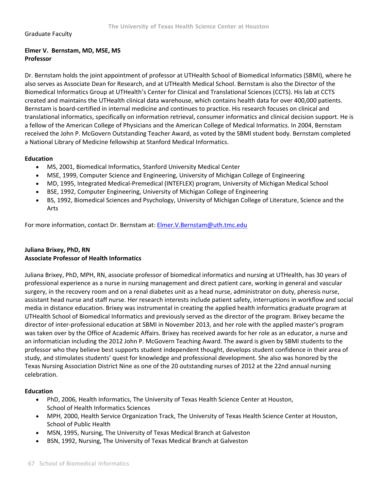#### Graduate Faculty

### **Elmer V. Bernstam, MD, MSE, MS Professor**

Dr. Bernstam holds the joint appointment of professor at UTHealth School of Biomedical Informatics (SBMI), where he also serves as Associate Dean for Research, and at UTHealth Medical School. Bernstam is also the Director of the Biomedical Informatics Group at UTHealth's Center for Clinical and Translational Sciences (CCTS). His lab at CCTS created and maintains the UTHealth clinical data warehouse, which contains health data for over 400,000 patients. Bernstam is board‐certified in internal medicine and continues to practice. His research focuses on clinical and translational informatics, specifically on information retrieval, consumer informatics and clinical decision support. He is a fellow of the American College of Physicians and the American College of Medical Informatics. In 2004, Bernstam received the John P. McGovern Outstanding Teacher Award, as voted by the SBMI student body. Bernstam completed a National Library of Medicine fellowship at Stanford Medical Informatics.

### **Education**

- MS, 2001, Biomedical Informatics, Stanford University Medical Center
- MSE, 1999, Computer Science and Engineering, University of Michigan College of Engineering
- MD, 1995, Integrated Medical-Premedical (INTEFLEX) program, University of Michigan Medical School
- BSE, 1992, Computer Engineering, University of Michigan College of Engineering
- BS, 1992, Biomedical Sciences and Psychology, University of Michigan College of Literature, Science and the Arts

For more information, contact Dr. Bernstam at: Elmer.V.Bernstam@uth.tmc.edu

### **Juliana Brixey, PhD, RN Associate Professor of Health Informatics**

Juliana Brixey, PhD, MPH, RN, associate professor of biomedical informatics and nursing at UTHealth, has 30 years of professional experience as a nurse in nursing management and direct patient care, working in general and vascular surgery, in the recovery room and on a renal diabetes unit as a head nurse, administrator on duty, pheresis nurse, assistant head nurse and staff nurse. Her research interests include patient safety, interruptions in workflow and social media in distance education. Brixey was instrumental in creating the applied health informatics graduate program at UTHealth School of Biomedical Informatics and previously served as the director of the program. Brixey became the director of inter‐professional education at SBMI in November 2013, and her role with the applied master's program was taken over by the Office of Academic Affairs. Brixey has received awards for her role as an educator, a nurse and an informatician including the 2012 John P. McGovern Teaching Award. The award is given by SBMI students to the professor who they believe best supports student independent thought, develops student confidence in their area of study, and stimulates students' quest for knowledge and professional development. She also was honored by the Texas Nursing Association District Nine as one of the 20 outstanding nurses of 2012 at the 22nd annual nursing celebration.

### **Education**

- PhD, 2006, Health Informatics, The University of Texas Health Science Center at Houston, School of Health Informatics Sciences
- MPH, 2000, Health Service Organization Track, The University of Texas Health Science Center at Houston, School of Public Health
- MSN, 1995, Nursing, The University of Texas Medical Branch at Galveston
- BSN, 1992, Nursing, The University of Texas Medical Branch at Galveston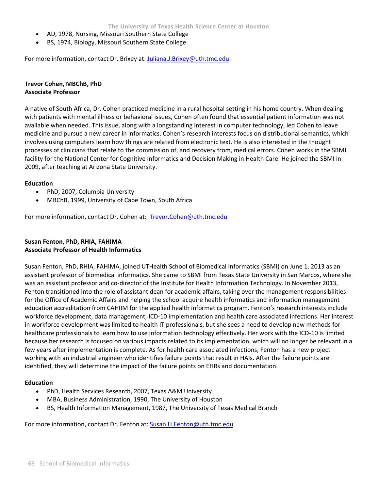- AD, 1978, Nursing, Missouri Southern State College
- BS, 1974, Biology, Missouri Southern State College

For more information, contact Dr. Brixey at: Juliana.J.Brixey@uth.tmc.edu

## **Trevor Cohen, MBChB, PhD Associate Professor**

A native of South Africa, Dr. Cohen practiced medicine in a rural hospital setting in his home country. When dealing with patients with mental illness or behavioral issues, Cohen often found that essential patient information was not available when needed. This issue, along with a longstanding interest in computer technology, led Cohen to leave medicine and pursue a new career in informatics. Cohen's research interests focus on distributional semantics, which involves using computers learn how things are related from electronic text. He is also interested in the thought processes of clinicians that relate to the commission of, and recovery from, medical errors. Cohen works in the SBMI facility for the National Center for Cognitive Informatics and Decision Making in Health Care. He joined the SBMI in 2009, after teaching at Arizona State University.

#### **Education**

- PhD, 2007, Columbia University
- MBChB, 1999, University of Cape Town, South Africa

For more information, contact Dr. Cohen at: Trevor.Cohen@uth.tmc.edu

### **Susan Fenton, PhD, RHIA, FAHIMA Associate Professor of Health Informatics**

Susan Fenton, PhD, RHIA, FAHIMA, joined UTHealth School of Biomedical Informatics (SBMI) on June 1, 2013 as an assistant professor of biomedical informatics. She came to SBMI from Texas State University in San Marcos, where she was an assistant professor and co-director of the Institute for Health Information Technology. In November 2013, Fenton transitioned into the role of assistant dean for academic affairs, taking over the management responsibilities for the Office of Academic Affairs and helping the school acquire health informatics and information management education accreditation from CAHIIM for the applied health informatics program. Fenton's research interests include workforce development, data management, ICD‐10 implementation and health care associated infections. Her interest in workforce development was limited to health IT professionals, but she sees a need to develop new methods for healthcare professionals to learn how to use information technology effectively. Her work with the ICD-10 is limited because her research is focused on various impacts related to its implementation, which will no longer be relevant in a few years after implementation is complete. As for health care associated infections, Fenton has a new project working with an industrial engineer who identifies failure points that result in HAIs. After the failure points are identified, they will determine the impact of the failure points on EHRs and documentation.

#### **Education**

- PhD, Health Services Research, 2007, Texas A&M University
- MBA, Business Administration, 1990, The University of Houston
- BS, Health Information Management, 1987, The University of Texas Medical Branch

For more information, contact Dr. Fenton at: Susan.H.Fenton@uth.tmc.edu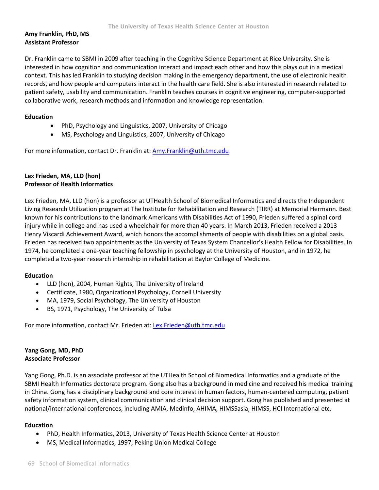## **Amy Franklin, PhD, MS Assistant Professor**

Dr. Franklin came to SBMI in 2009 after teaching in the Cognitive Science Department at Rice University. She is interested in how cognition and communication interact and impact each other and how this plays out in a medical context. This has led Franklin to studying decision making in the emergency department, the use of electronic health records, and how people and computers interact in the health care field. She is also interested in research related to patient safety, usability and communication. Franklin teaches courses in cognitive engineering, computer‐supported collaborative work, research methods and information and knowledge representation.

### **Education**

- PhD, Psychology and Linguistics, 2007, University of Chicago
- MS, Psychology and Linguistics, 2007, University of Chicago

For more information, contact Dr. Franklin at: Amy.Franklin@uth.tmc.edu

## **Lex Frieden, MA, LLD (hon) Professor of Health Informatics**

Lex Frieden, MA, LLD (hon) is a professor at UTHealth School of Biomedical Informatics and directs the Independent Living Research Utilization program at The Institute for Rehabilitation and Research (TIRR) at Memorial Hermann. Best known for his contributions to the landmark Americans with Disabilities Act of 1990, Frieden suffered a spinal cord injury while in college and has used a wheelchair for more than 40 years. In March 2013, Frieden received a 2013 Henry Viscardi Achievement Award, which honors the accomplishments of people with disabilities on a global basis. Frieden has received two appointments as the University of Texas System Chancellor's Health Fellow for Disabilities. In 1974, he completed a one-year teaching fellowship in psychology at the University of Houston, and in 1972, he completed a two‐year research internship in rehabilitation at Baylor College of Medicine.

### **Education**

- LLD (hon), 2004, Human Rights, The University of Ireland
- Certificate, 1980, Organizational Psychology, Cornell University
- MA, 1979, Social Psychology, The University of Houston
- BS, 1971, Psychology, The University of Tulsa

For more information, contact Mr. Frieden at: **Lex.Frieden@uth.tmc.edu** 

### **Yang Gong, MD, PhD Associate Professor**

Yang Gong, Ph.D. is an associate professor at the UTHealth School of Biomedical Informatics and a graduate of the SBMI Health Informatics doctorate program. Gong also has a background in medicine and received his medical training in China. Gong has a disciplinary background and core interest in human factors, human-centered computing, patient safety information system, clinical communication and clinical decision support. Gong has published and presented at national/international conferences, including AMIA, Medinfo, AHIMA, HIMSSasia, HIMSS, HCI International etc.

### **Education**

- PhD, Health Informatics, 2013, University of Texas Health Science Center at Houston
- MS, Medical Informatics, 1997, Peking Union Medical College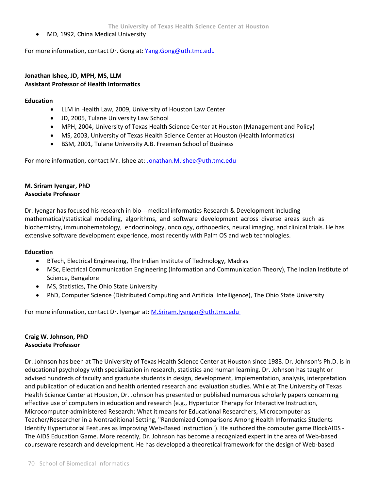MD, 1992, China Medical University

For more information, contact Dr. Gong at: Yang.Gong@uth.tmc.edu

### **Jonathan Ishee, JD, MPH, MS, LLM Assistant Professor of Health Informatics**

#### **Education**

- LLM in Health Law, 2009, University of Houston Law Center
- JD, 2005, Tulane University Law School
- MPH, 2004, University of Texas Health Science Center at Houston (Management and Policy)
- MS, 2003, University of Texas Health Science Center at Houston (Health Informatics)
- BSM, 2001, Tulane University A.B. Freeman School of Business

For more information, contact Mr. Ishee at: Jonathan.M.Ishee@uth.tmc.edu

## **M. Sriram Iyengar, PhD Associate Professor**

Dr. Iyengar has focused his research in bio---medical informatics Research & Development including mathematical/statistical modeling, algorithms, and software development across diverse areas such as biochemistry, immunohematology, endocrinology, oncology, orthopedics, neural imaging, and clinical trials. He has extensive software development experience, most recently with Palm OS and web technologies.

### **Education**

- BTech, Electrical Engineering, The Indian Institute of Technology, Madras
- MSc, Electrical Communication Engineering (Information and Communication Theory), The Indian Institute of Science, Bangalore
- MS, Statistics, The Ohio State University
- PhD, Computer Science (Distributed Computing and Artificial Intelligence), The Ohio State University

For more information, contact Dr. Iyengar at: M.Sriram.Iyengar@uth.tmc.edu

### **Craig W. Johnson, PhD Associate Professor**

Dr. Johnson has been at The University of Texas Health Science Center at Houston since 1983. Dr. Johnson's Ph.D. is in educational psychology with specialization in research, statistics and human learning. Dr. Johnson has taught or advised hundreds of faculty and graduate students in design, development, implementation, analysis, interpretation and publication of education and health oriented research and evaluation studies. While at The University of Texas Health Science Center at Houston, Dr. Johnson has presented or published numerous scholarly papers concerning effective use of computers in education and research (e.g., Hypertutor Therapy for Interactive Instruction, Microcomputer‐administered Research: What it means for Educational Researchers, Microcomputer as Teacher/Researcher in a Nontraditional Setting, "Randomized Comparisons Among Health Informatics Students Identify Hypertutorial Features as Improving Web-Based Instruction"). He authored the computer game BlockAIDS -The AIDS Education Game. More recently, Dr. Johnson has become a recognized expert in the area of Web‐based courseware research and development. He has developed a theoretical framework for the design of Web‐based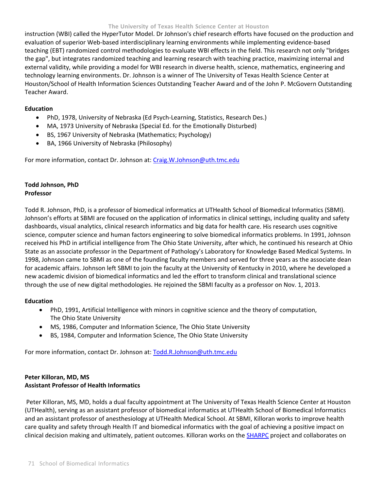instruction (WBI) called the HyperTutor Model. Dr Johnson's chief research efforts have focused on the production and evaluation of superior Web-based interdisciplinary learning environments while implementing evidence-based teaching (EBT) randomized control methodologies to evaluate WBI effects in the field. This research not only "bridges the gap", but integrates randomized teaching and learning research with teaching practice, maximizing internal and external validity, while providing a model for WBI research in diverse health, science, mathematics, engineering and technology learning environments. Dr. Johnson is a winner of The University of Texas Health Science Center at Houston/School of Health Information Sciences Outstanding Teacher Award and of the John P. McGovern Outstanding Teacher Award.

### **Education**

- PhD, 1978, University of Nebraska (Ed Psych-Learning, Statistics, Research Des.)
- MA, 1973 University of Nebraska (Special Ed. for the Emotionally Disturbed)
- BS, 1967 University of Nebraska (Mathematics; Psychology)
- BA, 1966 University of Nebraska (Philosophy)

For more information, contact Dr. Johnson at: Craig.W.Johnson@uth.tmc.edu

## **Todd Johnson, PhD Professor**

Todd R. Johnson, PhD, is a professor of biomedical informatics at UTHealth School of Biomedical Informatics (SBMI). Johnson's efforts at SBMI are focused on the application of informatics in clinical settings, including quality and safety dashboards, visual analytics, clinical research informatics and big data for health care. His research uses cognitive science, computer science and human factors engineering to solve biomedical informatics problems. In 1991, Johnson received his PhD in artificial intelligence from The Ohio State University, after which, he continued his research at Ohio State as an associate professor in the Department of Pathology's Laboratory for Knowledge Based Medical Systems. In 1998, Johnson came to SBMI as one of the founding faculty members and served for three years as the associate dean for academic affairs. Johnson left SBMI to join the faculty at the University of Kentucky in 2010, where he developed a new academic division of biomedical informatics and led the effort to transform clinical and translational science through the use of new digital methodologies. He rejoined the SBMI faculty as a professor on Nov. 1, 2013.

### **Education**

- PhD, 1991, Artificial Intelligence with minors in cognitive science and the theory of computation, The Ohio State University
- MS, 1986, Computer and Information Science, The Ohio State University
- BS, 1984, Computer and Information Science, The Ohio State University

For more information, contact Dr. Johnson at: Todd.R.Johnson@uth.tmc.edu

## **Peter Killoran, MD, MS Assistant Professor of Health Informatics**

Peter Killoran, MS, MD, holds a dual faculty appointment at The University of Texas Health Science Center at Houston (UTHealth), serving as an assistant professor of biomedical informatics at UTHealth School of Biomedical Informatics and an assistant professor of anesthesiology at UTHealth Medical School. At SBMI, Killoran works to improve health care quality and safety through Health IT and biomedical informatics with the goal of achieving a positive impact on clinical decision making and ultimately, patient outcomes. Killoran works on the SHARPC project and collaborates on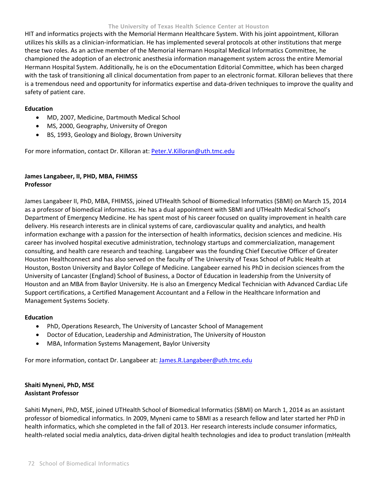HIT and informatics projects with the Memorial Hermann Healthcare System. With his joint appointment, Killoran utilizes his skills as a clinician‐informatician. He has implemented several protocols at other institutions that merge these two roles. As an active member of the Memorial Hermann Hospital Medical Informatics Committee, he championed the adoption of an electronic anesthesia information management system across the entire Memorial Hermann Hospital System. Additionally, he is on the eDocumentation Editorial Committee, which has been charged with the task of transitioning all clinical documentation from paper to an electronic format. Killoran believes that there is a tremendous need and opportunity for informatics expertise and data‐driven techniques to improve the quality and safety of patient care.

### **Education**

- MD, 2007, Medicine, Dartmouth Medical School
- MS, 2000, Geography, University of Oregon
- BS, 1993, Geology and Biology, Brown University

For more information, contact Dr. Killoran at: Peter.V.Killoran@uth.tmc.edu

## **James Langabeer, II, PHD, MBA, FHIMSS Professor**

James Langabeer II, PhD, MBA, FHIMSS, joined UTHealth School of Biomedical Informatics (SBMI) on March 15, 2014 as a professor of biomedical informatics. He has a dual appointment with SBMI and UTHealth Medical School's Department of Emergency Medicine. He has spent most of his career focused on quality improvement in health care delivery. His research interests are in clinical systems of care, cardiovascular quality and analytics, and health information exchange with a passion for the intersection of health informatics, decision sciences and medicine. His career has involved hospital executive administration, technology startups and commercialization, management consulting, and health care research and teaching. Langabeer was the founding Chief Executive Officer of Greater Houston Healthconnect and has also served on the faculty of The University of Texas School of Public Health at Houston, Boston University and Baylor College of Medicine. Langabeer earned his PhD in decision sciences from the University of Lancaster (England) School of Business, a Doctor of Education in leadership from the University of Houston and an MBA from Baylor University. He is also an Emergency Medical Technician with Advanced Cardiac Life Support certifications, a Certified Management Accountant and a Fellow in the Healthcare Information and Management Systems Society.

#### **Education**

- PhD, Operations Research, The University of Lancaster School of Management
- Doctor of Education, Leadership and Administration, The University of Houston
- MBA, Information Systems Management, Baylor University

For more information, contact Dr. Langabeer at: James.R.Langabeer@uth.tmc.edu

### **Shaiti Myneni, PhD, MSE Assistant Professor**

Sahiti Myneni, PhD, MSE, joined UTHealth School of Biomedical Informatics (SBMI) on March 1, 2014 as an assistant professor of biomedical informatics. In 2009, Myneni came to SBMI as a research fellow and later started her PhD in health informatics, which she completed in the fall of 2013. Her research interests include consumer informatics, health-related social media analytics, data-driven digital health technologies and idea to product translation (mHealth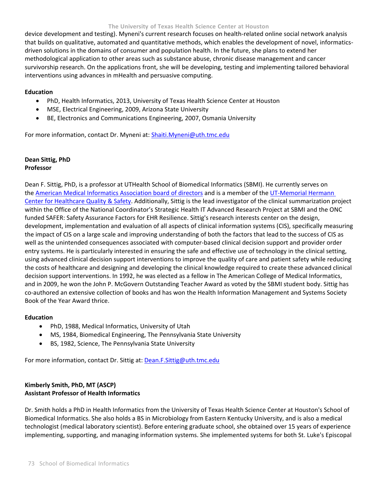device development and testing). Myneni's current research focuses on health‐related online social network analysis that builds on qualitative, automated and quantitative methods, which enables the development of novel, informatics‐ driven solutions in the domains of consumer and population health. In the future, she plans to extend her methodological application to other areas such as substance abuse, chronic disease management and cancer survivorship research. On the applications front, she will be developing, testing and implementing tailored behavioral interventions using advances in mHealth and persuasive computing.

#### **Education**

- PhD, Health Informatics, 2013, University of Texas Health Science Center at Houston
- MSE, Electrical Engineering, 2009, Arizona State University
- BE, Electronics and Communications Engineering, 2007, Osmania University

For more information, contact Dr. Myneni at: Shaiti.Myneni@uth.tmc.edu

## **Dean Sittig, PhD Professor**

Dean F. Sittig, PhD, is a professor at UTHealth School of Biomedical Informatics (SBMI). He currently serves on the American Medical Informatics Association board of directors and is a member of the UT-Memorial Hermann Center for Healthcare Quality & Safety. Additionally, Sittig is the lead investigator of the clinical summarization project within the Office of the National Coordinator's Strategic Health IT Advanced Research Project at SBMI and the ONC funded SAFER: Safety Assurance Factors for EHR Resilience. Sittig's research interests center on the design, development, implementation and evaluation of all aspects of clinical information systems (CIS), specifically measuring the impact of CIS on a large scale and improving understanding of both the factors that lead to the success of CIS as well as the unintended consequences associated with computer‐based clinical decision support and provider order entry systems. He is particularly interested in ensuring the safe and effective use of technology in the clinical setting, using advanced clinical decision support interventions to improve the quality of care and patient safety while reducing the costs of healthcare and designing and developing the clinical knowledge required to create these advanced clinical decision support interventions. In 1992, he was elected as a fellow in The American College of Medical Informatics, and in 2009, he won the John P. McGovern Outstanding Teacher Award as voted by the SBMI student body. Sittig has co-authored an extensive collection of books and has won the Health Information Management and Systems Society Book of the Year Award thrice.

### **Education**

- PhD, 1988, Medical Informatics, University of Utah
- MS, 1984, Biomedical Engineering, The Pennsylvania State University
- BS, 1982, Science, The Pennsylvania State University

For more information, contact Dr. Sittig at: **Dean.F.Sittig@uth.tmc.edu** 

### **Kimberly Smith, PhD, MT (ASCP) Assistant Professor of Health Informatics**

Dr. Smith holds a PhD in Health Informatics from the University of Texas Health Science Center at Houston's School of Biomedical Informatics. She also holds a BS in Microbiology from Eastern Kentucky University, and is also a medical technologist (medical laboratory scientist). Before entering graduate school, she obtained over 15 years of experience implementing, supporting, and managing information systems. She implemented systems for both St. Luke's Episcopal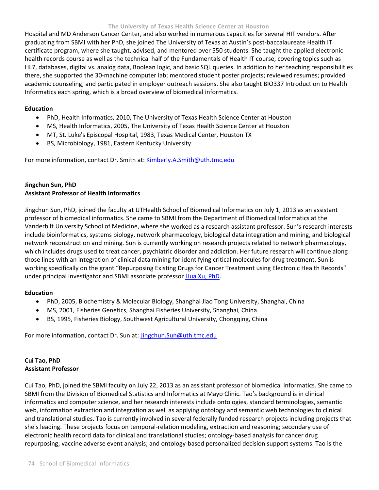Hospital and MD Anderson Cancer Center, and also worked in numerous capacities for several HIT vendors. After graduating from SBMI with her PhD, she joined The University of Texas at Austin's post‐baccalaureate Health IT certificate program, where she taught, advised, and mentored over 550 students. She taught the applied electronic health records course as well as the technical half of the Fundamentals of Health IT course, covering topics such as HL7, databases, digital vs. analog data, Boolean logic, and basic SQL queries. In addition to her teaching responsibilities there, she supported the 30‐machine computer lab; mentored student poster projects; reviewed resumes; provided academic counseling; and participated in employer outreach sessions. She also taught BIO337 Introduction to Health Informatics each spring, which is a broad overview of biomedical informatics.

### **Education**

- PhD, Health Informatics, 2010, The University of Texas Health Science Center at Houston
- MS, Health Informatics, 2005, The University of Texas Health Science Center at Houston
- MT, St. Luke's Episcopal Hospital, 1983, Texas Medical Center, Houston TX
- BS, Microbiology, 1981, Eastern Kentucky University

For more information, contact Dr. Smith at: Kimberly.A.Smith@uth.tmc.edu

## **Jingchun Sun, PhD Assistant Professor of Health Informatics**

Jingchun Sun, PhD, joined the faculty at UTHealth School of Biomedical Informatics on July 1, 2013 as an assistant professor of biomedical informatics. She came to SBMI from the Department of Biomedical Informatics at the Vanderbilt University School of Medicine, where she worked as a research assistant professor. Sun's research interests include bioinformatics, systems biology, network pharmacology, biological data integration and mining, and biological network reconstruction and mining. Sun is currently working on research projects related to network pharmacology, which includes drugs used to treat cancer, psychiatric disorder and addiction. Her future research will continue along those lines with an integration of clinical data mining for identifying critical molecules for drug treatment. Sun is working specifically on the grant "Repurposing Existing Drugs for Cancer Treatment using Electronic Health Records" under principal investigator and SBMI associate professor Hua Xu, PhD.

### **Education**

- PhD, 2005, Biochemistry & Molecular Biology, Shanghai Jiao Tong University, Shanghai, China
- MS, 2001, Fisheries Genetics, Shanghai Fisheries University, Shanghai, China
- BS, 1995, Fisheries Biology, Southwest Agricultural University, Chongqing, China

For more information, contact Dr. Sun at: *Jingchun.Sun@uth.tmc.edu* 

## **Cui Tao, PhD Assistant Professor**

Cui Tao, PhD, joined the SBMI faculty on July 22, 2013 as an assistant professor of biomedical informatics. She came to SBMI from the Division of Biomedical Statistics and Informatics at Mayo Clinic. Tao's background is in clinical informatics and computer science, and her research interests include ontologies, standard terminologies, semantic web, information extraction and integration as well as applying ontology and semantic web technologies to clinical and translational studies. Tao is currently involved in several federally funded research projects including projects that she's leading. These projects focus on temporal‐relation modeling, extraction and reasoning; secondary use of electronic health record data for clinical and translational studies; ontology‐based analysis for cancer drug repurposing; vaccine adverse event analysis; and ontology‐based personalized decision support systems. Tao is the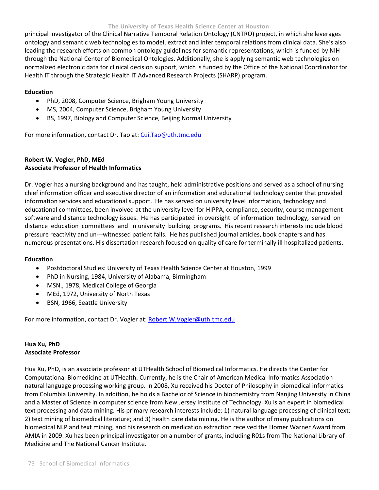principal investigator of the Clinical Narrative Temporal Relation Ontology (CNTRO) project, in which she leverages ontology and semantic web technologies to model, extract and infer temporal relations from clinical data. She's also leading the research efforts on common ontology guidelines for semantic representations, which is funded by NIH through the National Center of Biomedical Ontologies. Additionally, she is applying semantic web technologies on normalized electronic data for clinical decision support, which is funded by the Office of the National Coordinator for Health IT through the Strategic Health IT Advanced Research Projects (SHARP) program.

### **Education**

- PhD, 2008, Computer Science, Brigham Young University
- MS, 2004, Computer Science, Brigham Young University
- BS, 1997, Biology and Computer Science, Beijing Normal University

For more information, contact Dr. Tao at: Cui.Tao@uth.tmc.edu

## **Robert W. Vogler, PhD, MEd Associate Professor of Health Informatics**

Dr. Vogler has a nursing background and has taught, held administrative positions and served as a school of nursing chief information officer and executive director of an information and educational technology center that provided information services and educational support. He has served on university level information, technology and educational committees, been involved at the university level for HIPPA, compliance, security, course management software and distance technology issues. He has participated in oversight of information technology, served on distance education committees and in university building programs. His recent research interests include blood pressure reactivity and un‐‐‐witnessed patient falls. He has published journal articles, book chapters and has numerous presentations. His dissertation research focused on quality of care for terminally ill hospitalized patients.

### **Education**

- Postdoctoral Studies: University of Texas Health Science Center at Houston, 1999
- PhD in Nursing, 1984, University of Alabama, Birmingham
- MSN., 1978, Medical College of Georgia
- MEd, 1972, University of North Texas
- BSN, 1966, Seattle University

For more information, contact Dr. Vogler at: Robert.W.Vogler@uth.tmc.edu

### **Hua Xu, PhD Associate Professor**

Hua Xu, PhD, is an associate professor at UTHealth School of Biomedical Informatics. He directs the Center for Computational Biomedicine at UTHealth. Currently, he is the Chair of American Medical Informatics Association natural language processing working group. In 2008, Xu received his Doctor of Philosophy in biomedical informatics from Columbia University. In addition, he holds a Bachelor of Science in biochemistry from Nanjing University in China and a Master of Science in computer science from New Jersey Institute of Technology. Xu is an expert in biomedical text processing and data mining. His primary research interests include: 1) natural language processing of clinical text; 2) text mining of biomedical literature; and 3) health care data mining. He is the author of many publications on biomedical NLP and text mining, and his research on medication extraction received the Homer Warner Award from AMIA in 2009. Xu has been principal investigator on a number of grants, including R01s from The National Library of Medicine and The National Cancer Institute.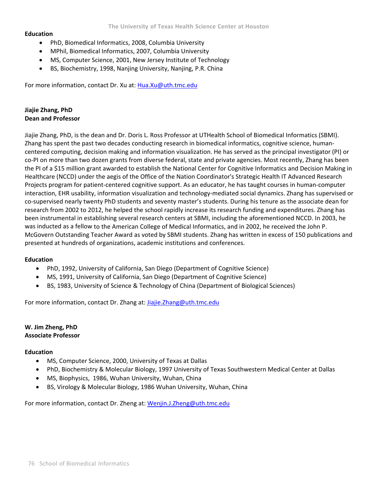#### **Education**

- PhD, Biomedical Informatics, 2008, Columbia University
- MPhil, Biomedical Informatics, 2007, Columbia University
- MS, Computer Science, 2001, New Jersey Institute of Technology
- BS, Biochemistry, 1998, Nanjing University, Nanjing, P.R. China

For more information, contact Dr. Xu at: Hua.Xu@uth.tmc.edu

## **Jiajie Zhang, PhD Dean and Professor**

Jiajie Zhang, PhD, is the dean and Dr. Doris L. Ross Professor at UTHealth School of Biomedical Informatics (SBMI). Zhang has spent the past two decades conducting research in biomedical informatics, cognitive science, human‐ centered computing, decision making and information visualization. He has served as the principal investigator (PI) or co-PI on more than two dozen grants from diverse federal, state and private agencies. Most recently, Zhang has been the PI of a \$15 million grant awarded to establish the National Center for Cognitive Informatics and Decision Making in Healthcare (NCCD) under the aegis of the Office of the Nation Coordinator's Strategic Health IT Advanced Research Projects program for patient‐centered cognitive support. As an educator, he has taught courses in human‐computer interaction, EHR usability, information visualization and technology-mediated social dynamics. Zhang has supervised or co-supervised nearly twenty PhD students and seventy master's students. During his tenure as the associate dean for research from 2002 to 2012, he helped the school rapidly increase its research funding and expenditures. Zhang has been instrumental in establishing several research centers at SBMI, including the aforementioned NCCD. In 2003, he was inducted as a fellow to the American College of Medical Informatics, and in 2002, he received the John P. McGovern Outstanding Teacher Award as voted by SBMI students. Zhang has written in excess of 150 publications and presented at hundreds of organizations, academic institutions and conferences.

### **Education**

- PhD, 1992, University of California, San Diego (Department of Cognitive Science)
- MS, 1991, University of California, San Diego (Department of Cognitive Science)
- BS, 1983, University of Science & Technology of China (Department of Biological Sciences)

For more information, contact Dr. Zhang at: Jiajie.Zhang@uth.tmc.edu

### **W. Jim Zheng, PhD Associate Professor**

#### **Education**

- MS, Computer Science, 2000, University of Texas at Dallas
- PhD, Biochemistry & Molecular Biology, 1997 University of Texas Southwestern Medical Center at Dallas
- MS, Biophysics, 1986, Wuhan University, Wuhan, China
- BS, Virology & Molecular Biology, 1986 Wuhan University, Wuhan, China

For more information, contact Dr. Zheng at: Wenjin.J.Zheng@uth.tmc.edu